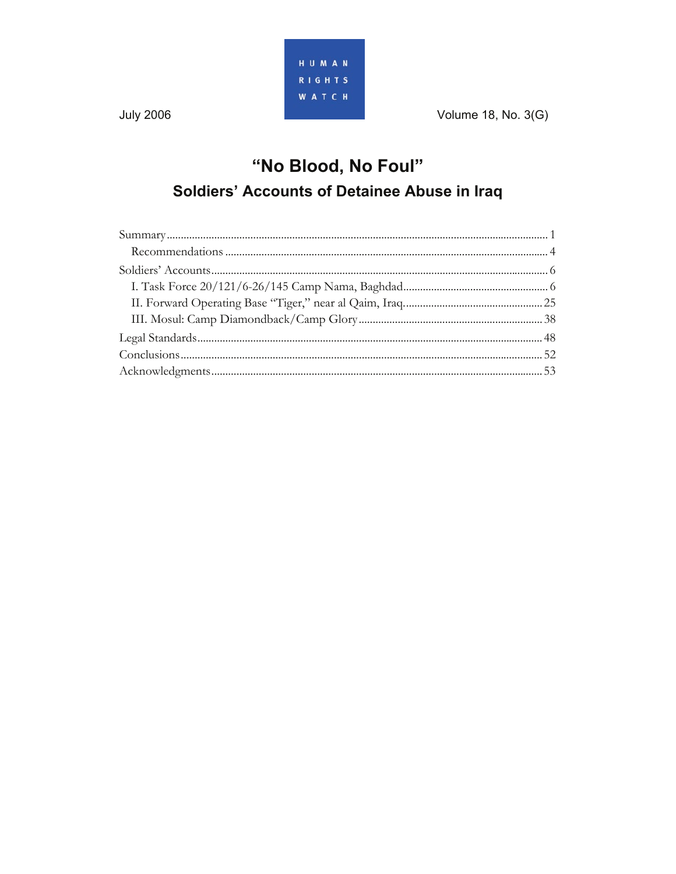

**July 2006** 

Volume 18, No. 3(G)

# "No Blood, No Foul" **Soldiers' Accounts of Detainee Abuse in Iraq**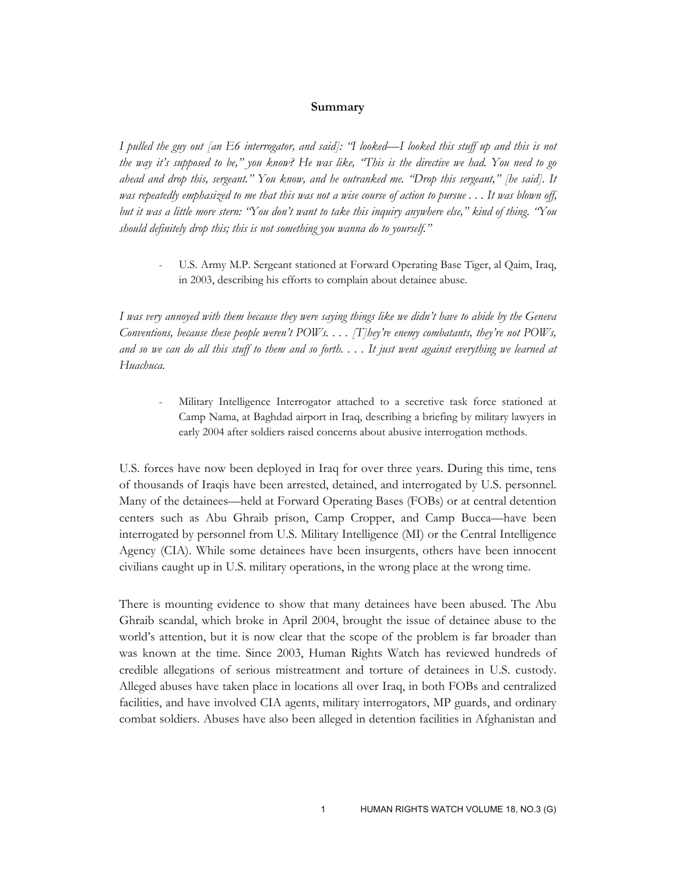## **Summary**

*I pulled the guy out [an E6 interrogator, and said]: "I looked—I looked this stuff up and this is not the way it's supposed to be," you know? He was like, "This is the directive we had. You need to go ahead and drop this, sergeant." You know, and he outranked me. "Drop this sergeant," [he said]. It was repeatedly emphasized to me that this was not a wise course of action to pursue . . . It was blown off, but it was a little more stern: "You don't want to take this inquiry anywhere else," kind of thing. "You should definitely drop this; this is not something you wanna do to yourself."* 

- U.S. Army M.P. Sergeant stationed at Forward Operating Base Tiger, al Qaim, Iraq, in 2003, describing his efforts to complain about detainee abuse.

*I was very annoyed with them because they were saying things like we didn't have to abide by the Geneva Conventions, because these people weren't POWs. . . . [T]hey're enemy combatants, they're not POWs, and so we can do all this stuff to them and so forth. . . . It just went against everything we learned at Huachuca.* 

- Military Intelligence Interrogator attached to a secretive task force stationed at Camp Nama, at Baghdad airport in Iraq, describing a briefing by military lawyers in early 2004 after soldiers raised concerns about abusive interrogation methods.

U.S. forces have now been deployed in Iraq for over three years. During this time, tens of thousands of Iraqis have been arrested, detained, and interrogated by U.S. personnel. Many of the detainees—held at Forward Operating Bases (FOBs) or at central detention centers such as Abu Ghraib prison, Camp Cropper, and Camp Bucca—have been interrogated by personnel from U.S. Military Intelligence (MI) or the Central Intelligence Agency (CIA). While some detainees have been insurgents, others have been innocent civilians caught up in U.S. military operations, in the wrong place at the wrong time.

There is mounting evidence to show that many detainees have been abused. The Abu Ghraib scandal, which broke in April 2004, brought the issue of detainee abuse to the world's attention, but it is now clear that the scope of the problem is far broader than was known at the time. Since 2003, Human Rights Watch has reviewed hundreds of credible allegations of serious mistreatment and torture of detainees in U.S. custody. Alleged abuses have taken place in locations all over Iraq, in both FOBs and centralized facilities, and have involved CIA agents, military interrogators, MP guards, and ordinary combat soldiers. Abuses have also been alleged in detention facilities in Afghanistan and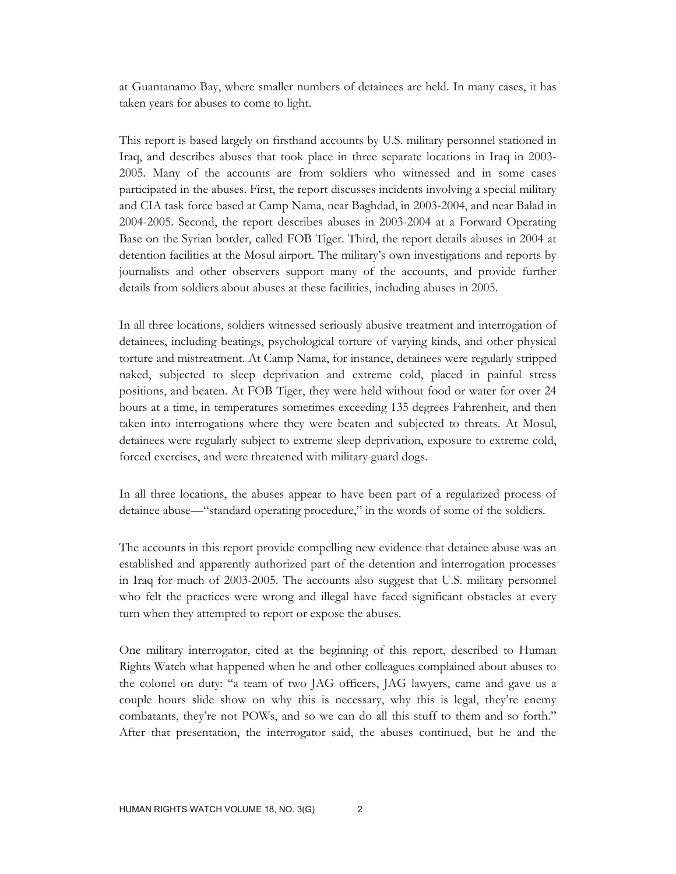at Guantanamo Bay, where smaller numbers of detainees are held. In many cases, it has taken years for abuses to come to light.

This report is based largely on firsthand accounts by U.S. military personnel stationed in Iraq, and describes abuses that took place in three separate locations in Iraq in 2003- 2005. Many of the accounts are from soldiers who witnessed and in some cases participated in the abuses. First, the report discusses incidents involving a special military and CIA task force based at Camp Nama, near Baghdad, in 2003-2004, and near Balad in 2004-2005. Second, the report describes abuses in 2003-2004 at a Forward Operating Base on the Syrian border, called FOB Tiger. Third, the report details abuses in 2004 at detention facilities at the Mosul airport. The military's own investigations and reports by journalists and other observers support many of the accounts, and provide further details from soldiers about abuses at these facilities, including abuses in 2005.

In all three locations, soldiers witnessed seriously abusive treatment and interrogation of detainees, including beatings, psychological torture of varying kinds, and other physical torture and mistreatment. At Camp Nama, for instance, detainees were regularly stripped naked, subjected to sleep deprivation and extreme cold, placed in painful stress positions, and beaten. At FOB Tiger, they were held without food or water for over 24 hours at a time, in temperatures sometimes exceeding 135 degrees Fahrenheit, and then taken into interrogations where they were beaten and subjected to threats. At Mosul, detainees were regularly subject to extreme sleep deprivation, exposure to extreme cold, forced exercises, and were threatened with military guard dogs.

In all three locations, the abuses appear to have been part of a regularized process of detainee abuse—"standard operating procedure," in the words of some of the soldiers.

The accounts in this report provide compelling new evidence that detainee abuse was an established and apparently authorized part of the detention and interrogation processes in Iraq for much of 2003-2005. The accounts also suggest that U.S. military personnel who felt the practices were wrong and illegal have faced significant obstacles at every turn when they attempted to report or expose the abuses.

One military interrogator, cited at the beginning of this report, described to Human Rights Watch what happened when he and other colleagues complained about abuses to the colonel on duty: "a team of two JAG officers, JAG lawyers, came and gave us a couple hours slide show on why this is necessary, why this is legal, they're enemy combatants, they're not POWs, and so we can do all this stuff to them and so forth." After that presentation, the interrogator said, the abuses continued, but he and the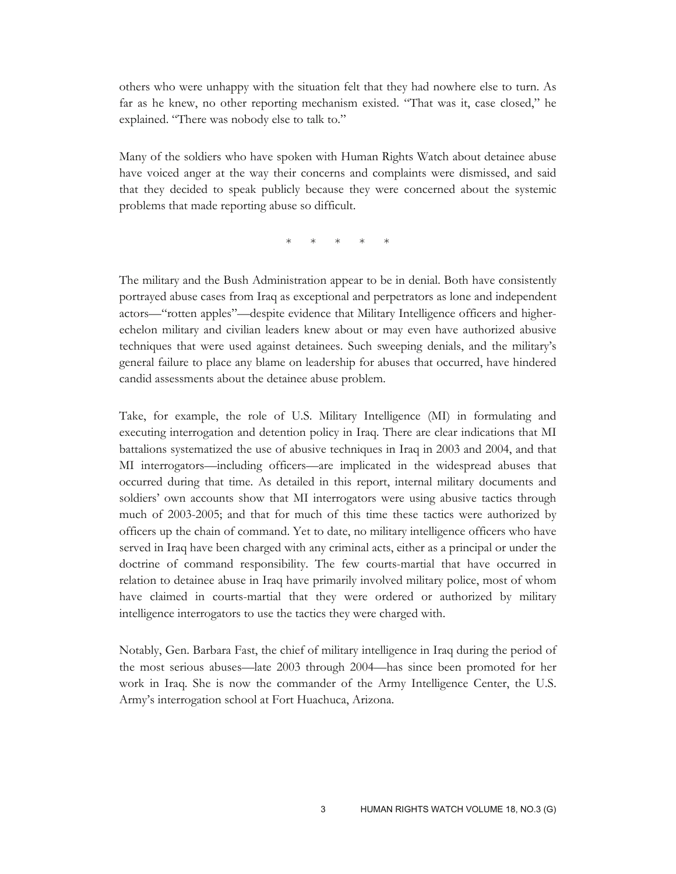others who were unhappy with the situation felt that they had nowhere else to turn. As far as he knew, no other reporting mechanism existed. "That was it, case closed," he explained. "There was nobody else to talk to."

Many of the soldiers who have spoken with Human Rights Watch about detainee abuse have voiced anger at the way their concerns and complaints were dismissed, and said that they decided to speak publicly because they were concerned about the systemic problems that made reporting abuse so difficult.

\* \* \* \* \*

The military and the Bush Administration appear to be in denial. Both have consistently portrayed abuse cases from Iraq as exceptional and perpetrators as lone and independent actors—"rotten apples"—despite evidence that Military Intelligence officers and higherechelon military and civilian leaders knew about or may even have authorized abusive techniques that were used against detainees. Such sweeping denials, and the military's general failure to place any blame on leadership for abuses that occurred, have hindered candid assessments about the detainee abuse problem.

Take, for example, the role of U.S. Military Intelligence (MI) in formulating and executing interrogation and detention policy in Iraq. There are clear indications that MI battalions systematized the use of abusive techniques in Iraq in 2003 and 2004, and that MI interrogators—including officers—are implicated in the widespread abuses that occurred during that time. As detailed in this report, internal military documents and soldiers' own accounts show that MI interrogators were using abusive tactics through much of 2003-2005; and that for much of this time these tactics were authorized by officers up the chain of command. Yet to date, no military intelligence officers who have served in Iraq have been charged with any criminal acts, either as a principal or under the doctrine of command responsibility. The few courts-martial that have occurred in relation to detainee abuse in Iraq have primarily involved military police, most of whom have claimed in courts-martial that they were ordered or authorized by military intelligence interrogators to use the tactics they were charged with.

Notably, Gen. Barbara Fast, the chief of military intelligence in Iraq during the period of the most serious abuses—late 2003 through 2004—has since been promoted for her work in Iraq. She is now the commander of the Army Intelligence Center, the U.S. Army's interrogation school at Fort Huachuca, Arizona.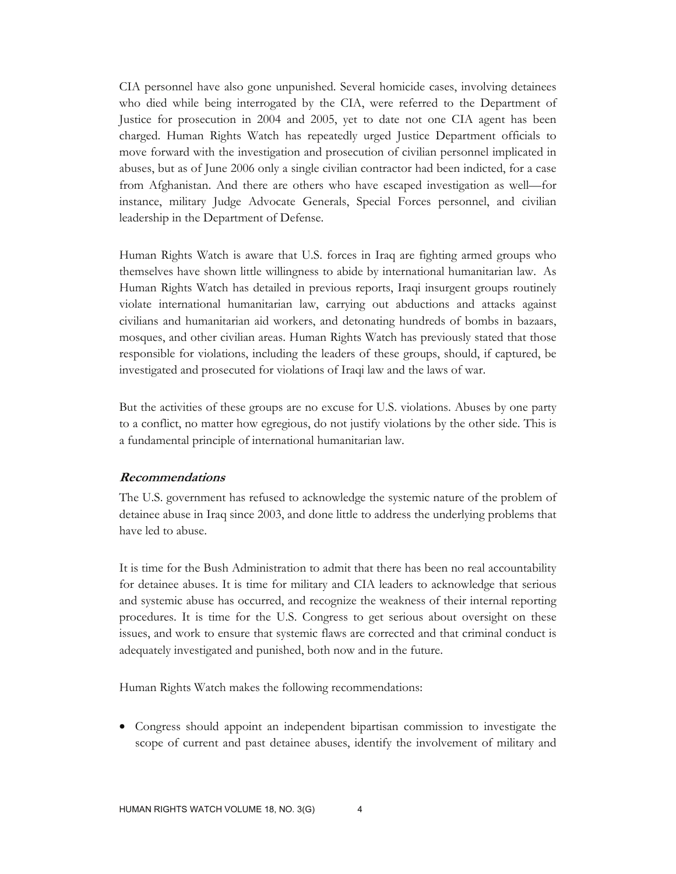CIA personnel have also gone unpunished. Several homicide cases, involving detainees who died while being interrogated by the CIA, were referred to the Department of Justice for prosecution in 2004 and 2005, yet to date not one CIA agent has been charged. Human Rights Watch has repeatedly urged Justice Department officials to move forward with the investigation and prosecution of civilian personnel implicated in abuses, but as of June 2006 only a single civilian contractor had been indicted, for a case from Afghanistan. And there are others who have escaped investigation as well—for instance, military Judge Advocate Generals, Special Forces personnel, and civilian leadership in the Department of Defense.

Human Rights Watch is aware that U.S. forces in Iraq are fighting armed groups who themselves have shown little willingness to abide by international humanitarian law. As Human Rights Watch has detailed in previous reports, Iraqi insurgent groups routinely violate international humanitarian law, carrying out abductions and attacks against civilians and humanitarian aid workers, and detonating hundreds of bombs in bazaars, mosques, and other civilian areas. Human Rights Watch has previously stated that those responsible for violations, including the leaders of these groups, should, if captured, be investigated and prosecuted for violations of Iraqi law and the laws of war.

But the activities of these groups are no excuse for U.S. violations. Abuses by one party to a conflict, no matter how egregious, do not justify violations by the other side. This is a fundamental principle of international humanitarian law.

## **Recommendations**

The U.S. government has refused to acknowledge the systemic nature of the problem of detainee abuse in Iraq since 2003, and done little to address the underlying problems that have led to abuse.

It is time for the Bush Administration to admit that there has been no real accountability for detainee abuses. It is time for military and CIA leaders to acknowledge that serious and systemic abuse has occurred, and recognize the weakness of their internal reporting procedures. It is time for the U.S. Congress to get serious about oversight on these issues, and work to ensure that systemic flaws are corrected and that criminal conduct is adequately investigated and punished, both now and in the future.

Human Rights Watch makes the following recommendations:

• Congress should appoint an independent bipartisan commission to investigate the scope of current and past detainee abuses, identify the involvement of military and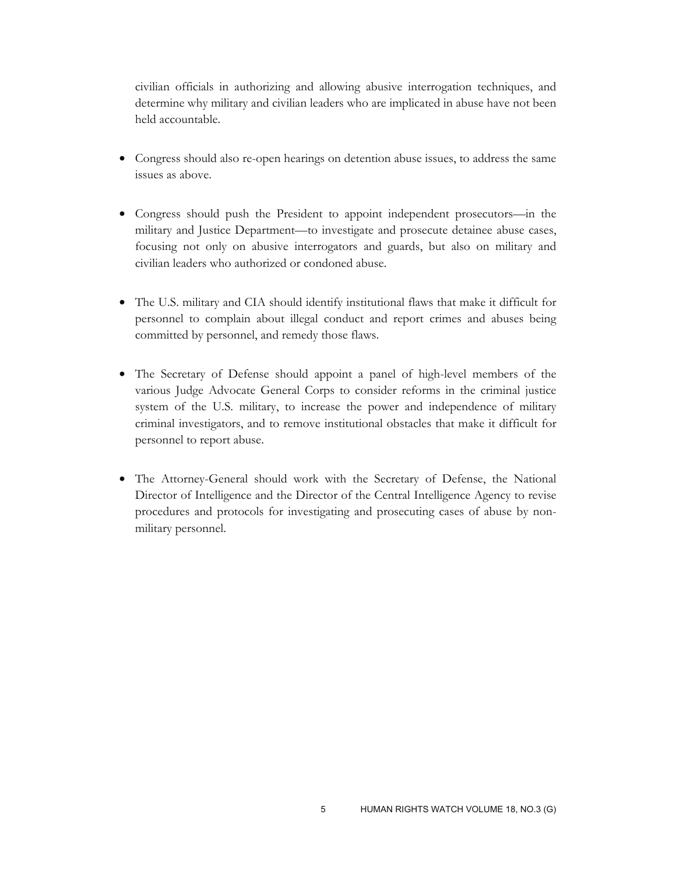civilian officials in authorizing and allowing abusive interrogation techniques, and determine why military and civilian leaders who are implicated in abuse have not been held accountable.

- Congress should also re-open hearings on detention abuse issues, to address the same issues as above.
- Congress should push the President to appoint independent prosecutors—in the military and Justice Department—to investigate and prosecute detainee abuse cases, focusing not only on abusive interrogators and guards, but also on military and civilian leaders who authorized or condoned abuse.
- The U.S. military and CIA should identify institutional flaws that make it difficult for personnel to complain about illegal conduct and report crimes and abuses being committed by personnel, and remedy those flaws.
- The Secretary of Defense should appoint a panel of high-level members of the various Judge Advocate General Corps to consider reforms in the criminal justice system of the U.S. military, to increase the power and independence of military criminal investigators, and to remove institutional obstacles that make it difficult for personnel to report abuse.
- The Attorney-General should work with the Secretary of Defense, the National Director of Intelligence and the Director of the Central Intelligence Agency to revise procedures and protocols for investigating and prosecuting cases of abuse by nonmilitary personnel.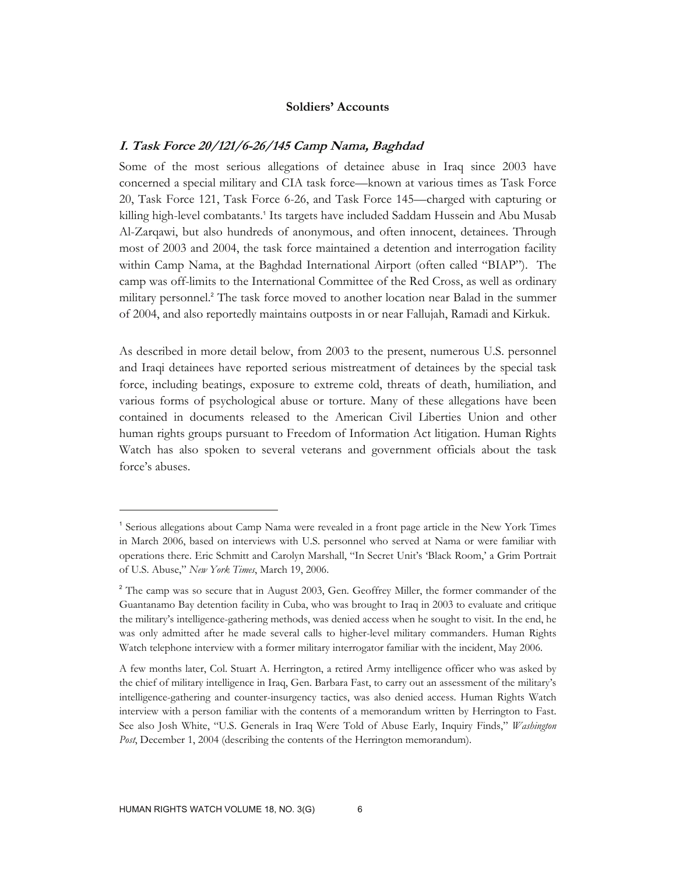# **Soldiers' Accounts**

# **I. Task Force 20/121/6-26/145 Camp Nama, Baghdad**

Some of the most serious allegations of detainee abuse in Iraq since 2003 have concerned a special military and CIA task force—known at various times as Task Force 20, Task Force 121, Task Force 6-26, and Task Force 145—charged with capturing or killing high-level combatants.<sup>1</sup> Its targets have included Saddam Hussein and Abu Musab Al-Zarqawi, but also hundreds of anonymous, and often innocent, detainees. Through most of 2003 and 2004, the task force maintained a detention and interrogation facility within Camp Nama, at the Baghdad International Airport (often called "BIAP"). The camp was off-limits to the International Committee of the Red Cross, as well as ordinary military personnel.<sup>2</sup> The task force moved to another location near Balad in the summer of 2004, and also reportedly maintains outposts in or near Fallujah, Ramadi and Kirkuk.

As described in more detail below, from 2003 to the present, numerous U.S. personnel and Iraqi detainees have reported serious mistreatment of detainees by the special task force, including beatings, exposure to extreme cold, threats of death, humiliation, and various forms of psychological abuse or torture. Many of these allegations have been contained in documents released to the American Civil Liberties Union and other human rights groups pursuant to Freedom of Information Act litigation. Human Rights Watch has also spoken to several veterans and government officials about the task force's abuses.

<sup>1</sup> Serious allegations about Camp Nama were revealed in a front page article in the New York Times in March 2006, based on interviews with U.S. personnel who served at Nama or were familiar with operations there. Eric Schmitt and Carolyn Marshall, "In Secret Unit's 'Black Room,' a Grim Portrait of U.S. Abuse," *New York Times*, March 19, 2006.

<sup>&</sup>lt;sup>2</sup> The camp was so secure that in August 2003, Gen. Geoffrey Miller, the former commander of the Guantanamo Bay detention facility in Cuba, who was brought to Iraq in 2003 to evaluate and critique the military's intelligence-gathering methods, was denied access when he sought to visit. In the end, he was only admitted after he made several calls to higher-level military commanders. Human Rights Watch telephone interview with a former military interrogator familiar with the incident, May 2006.

A few months later, Col. Stuart A. Herrington, a retired Army intelligence officer who was asked by the chief of military intelligence in Iraq, Gen. Barbara Fast, to carry out an assessment of the military's intelligence-gathering and counter-insurgency tactics, was also denied access. Human Rights Watch interview with a person familiar with the contents of a memorandum written by Herrington to Fast. See also Josh White, "U.S. Generals in Iraq Were Told of Abuse Early, Inquiry Finds," *Washington Post*, December 1, 2004 (describing the contents of the Herrington memorandum).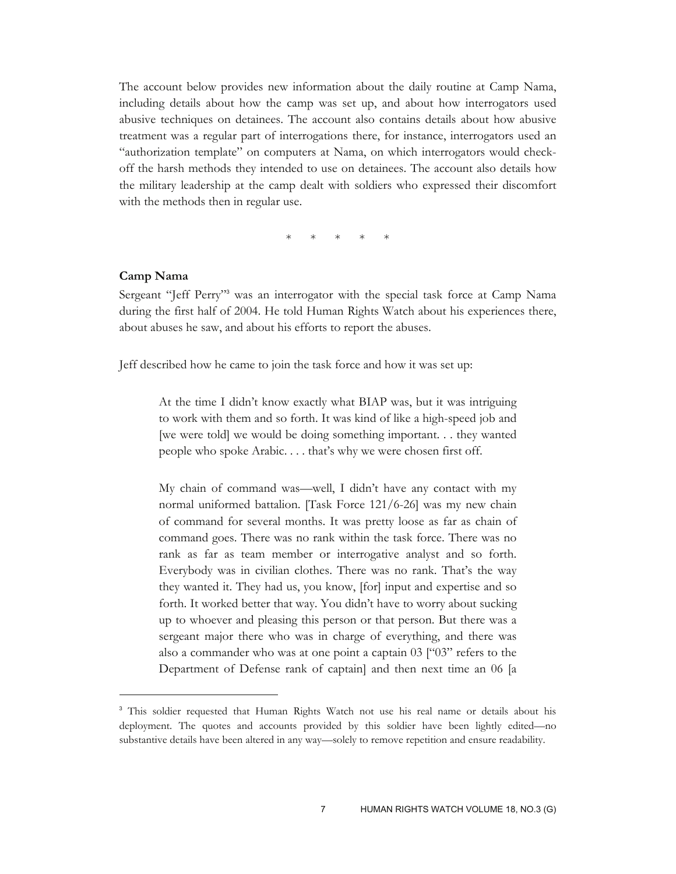The account below provides new information about the daily routine at Camp Nama, including details about how the camp was set up, and about how interrogators used abusive techniques on detainees. The account also contains details about how abusive treatment was a regular part of interrogations there, for instance, interrogators used an "authorization template" on computers at Nama, on which interrogators would checkoff the harsh methods they intended to use on detainees. The account also details how the military leadership at the camp dealt with soldiers who expressed their discomfort with the methods then in regular use.

\* \* \* \* \*

#### **Camp Nama**

-

Sergeant "Jeff Perry"<sup>3</sup> was an interrogator with the special task force at Camp Nama during the first half of 2004. He told Human Rights Watch about his experiences there, about abuses he saw, and about his efforts to report the abuses.

Jeff described how he came to join the task force and how it was set up:

At the time I didn't know exactly what BIAP was, but it was intriguing to work with them and so forth. It was kind of like a high-speed job and [we were told] we would be doing something important. . . they wanted people who spoke Arabic. . . . that's why we were chosen first off.

My chain of command was—well, I didn't have any contact with my normal uniformed battalion. [Task Force 121/6-26] was my new chain of command for several months. It was pretty loose as far as chain of command goes. There was no rank within the task force. There was no rank as far as team member or interrogative analyst and so forth. Everybody was in civilian clothes. There was no rank. That's the way they wanted it. They had us, you know, [for] input and expertise and so forth. It worked better that way. You didn't have to worry about sucking up to whoever and pleasing this person or that person. But there was a sergeant major there who was in charge of everything, and there was also a commander who was at one point a captain 03 ["03" refers to the Department of Defense rank of captain] and then next time an 06 [a

<sup>&</sup>lt;sup>3</sup> This soldier requested that Human Rights Watch not use his real name or details about his deployment. The quotes and accounts provided by this soldier have been lightly edited—no substantive details have been altered in any way—solely to remove repetition and ensure readability.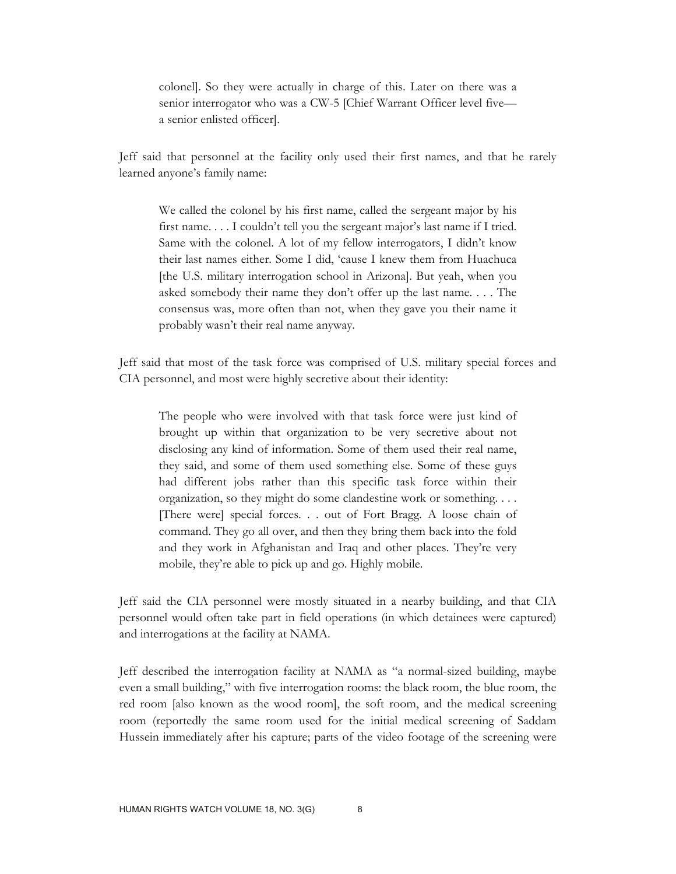colonel]. So they were actually in charge of this. Later on there was a senior interrogator who was a CW-5 [Chief Warrant Officer level five a senior enlisted officer].

Jeff said that personnel at the facility only used their first names, and that he rarely learned anyone's family name:

We called the colonel by his first name, called the sergeant major by his first name. . . . I couldn't tell you the sergeant major's last name if I tried. Same with the colonel. A lot of my fellow interrogators, I didn't know their last names either. Some I did, 'cause I knew them from Huachuca [the U.S. military interrogation school in Arizona]. But yeah, when you asked somebody their name they don't offer up the last name. . . . The consensus was, more often than not, when they gave you their name it probably wasn't their real name anyway.

Jeff said that most of the task force was comprised of U.S. military special forces and CIA personnel, and most were highly secretive about their identity:

The people who were involved with that task force were just kind of brought up within that organization to be very secretive about not disclosing any kind of information. Some of them used their real name, they said, and some of them used something else. Some of these guys had different jobs rather than this specific task force within their organization, so they might do some clandestine work or something. . . . [There were] special forces. . . out of Fort Bragg. A loose chain of command. They go all over, and then they bring them back into the fold and they work in Afghanistan and Iraq and other places. They're very mobile, they're able to pick up and go. Highly mobile.

Jeff said the CIA personnel were mostly situated in a nearby building, and that CIA personnel would often take part in field operations (in which detainees were captured) and interrogations at the facility at NAMA.

Jeff described the interrogation facility at NAMA as "a normal-sized building, maybe even a small building," with five interrogation rooms: the black room, the blue room, the red room [also known as the wood room], the soft room, and the medical screening room (reportedly the same room used for the initial medical screening of Saddam Hussein immediately after his capture; parts of the video footage of the screening were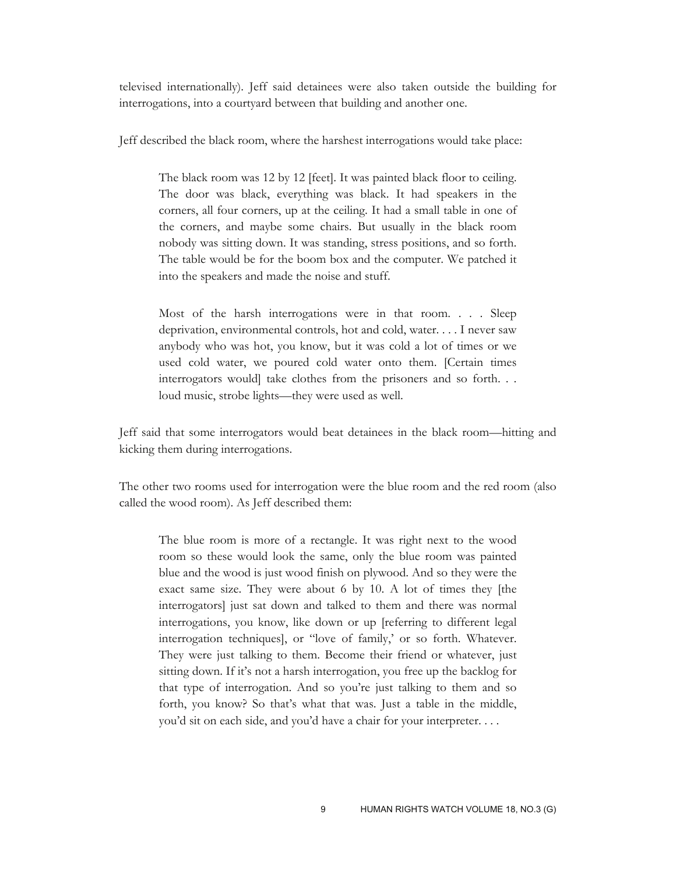televised internationally). Jeff said detainees were also taken outside the building for interrogations, into a courtyard between that building and another one.

Jeff described the black room, where the harshest interrogations would take place:

The black room was 12 by 12 [feet]. It was painted black floor to ceiling. The door was black, everything was black. It had speakers in the corners, all four corners, up at the ceiling. It had a small table in one of the corners, and maybe some chairs. But usually in the black room nobody was sitting down. It was standing, stress positions, and so forth. The table would be for the boom box and the computer. We patched it into the speakers and made the noise and stuff.

Most of the harsh interrogations were in that room. . . . Sleep deprivation, environmental controls, hot and cold, water. . . . I never saw anybody who was hot, you know, but it was cold a lot of times or we used cold water, we poured cold water onto them. [Certain times interrogators would] take clothes from the prisoners and so forth. . . loud music, strobe lights—they were used as well.

Jeff said that some interrogators would beat detainees in the black room—hitting and kicking them during interrogations.

The other two rooms used for interrogation were the blue room and the red room (also called the wood room). As Jeff described them:

The blue room is more of a rectangle. It was right next to the wood room so these would look the same, only the blue room was painted blue and the wood is just wood finish on plywood. And so they were the exact same size. They were about 6 by 10. A lot of times they [the interrogators] just sat down and talked to them and there was normal interrogations, you know, like down or up [referring to different legal interrogation techniques], or "love of family,' or so forth. Whatever. They were just talking to them. Become their friend or whatever, just sitting down. If it's not a harsh interrogation, you free up the backlog for that type of interrogation. And so you're just talking to them and so forth, you know? So that's what that was. Just a table in the middle, you'd sit on each side, and you'd have a chair for your interpreter. . . .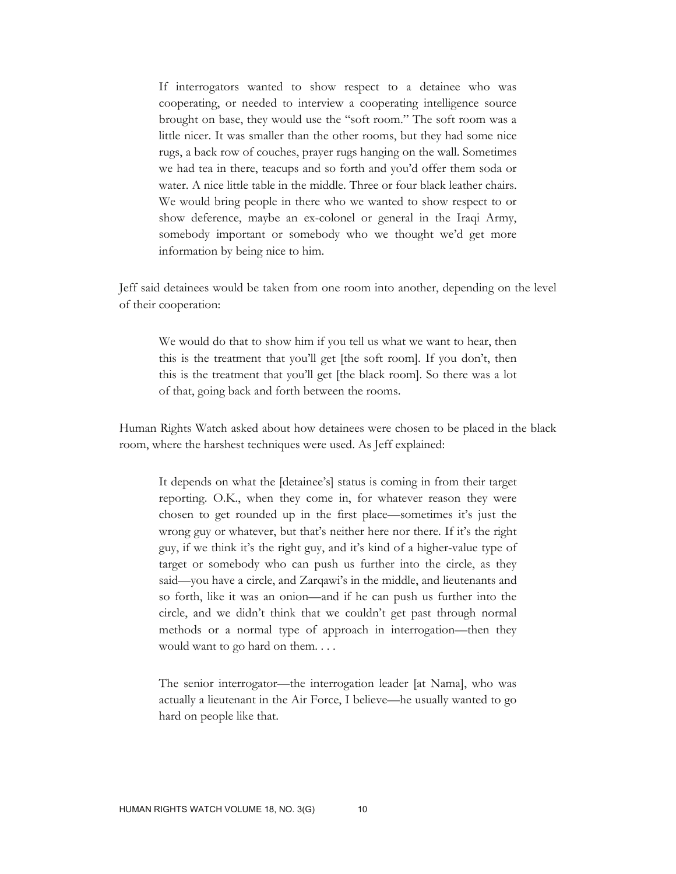If interrogators wanted to show respect to a detainee who was cooperating, or needed to interview a cooperating intelligence source brought on base, they would use the "soft room." The soft room was a little nicer. It was smaller than the other rooms, but they had some nice rugs, a back row of couches, prayer rugs hanging on the wall. Sometimes we had tea in there, teacups and so forth and you'd offer them soda or water. A nice little table in the middle. Three or four black leather chairs. We would bring people in there who we wanted to show respect to or show deference, maybe an ex-colonel or general in the Iraqi Army, somebody important or somebody who we thought we'd get more information by being nice to him.

Jeff said detainees would be taken from one room into another, depending on the level of their cooperation:

We would do that to show him if you tell us what we want to hear, then this is the treatment that you'll get [the soft room]. If you don't, then this is the treatment that you'll get [the black room]. So there was a lot of that, going back and forth between the rooms.

Human Rights Watch asked about how detainees were chosen to be placed in the black room, where the harshest techniques were used. As Jeff explained:

It depends on what the [detainee's] status is coming in from their target reporting. O.K., when they come in, for whatever reason they were chosen to get rounded up in the first place—sometimes it's just the wrong guy or whatever, but that's neither here nor there. If it's the right guy, if we think it's the right guy, and it's kind of a higher-value type of target or somebody who can push us further into the circle, as they said—you have a circle, and Zarqawi's in the middle, and lieutenants and so forth, like it was an onion—and if he can push us further into the circle, and we didn't think that we couldn't get past through normal methods or a normal type of approach in interrogation—then they would want to go hard on them. . . .

The senior interrogator—the interrogation leader [at Nama], who was actually a lieutenant in the Air Force, I believe—he usually wanted to go hard on people like that.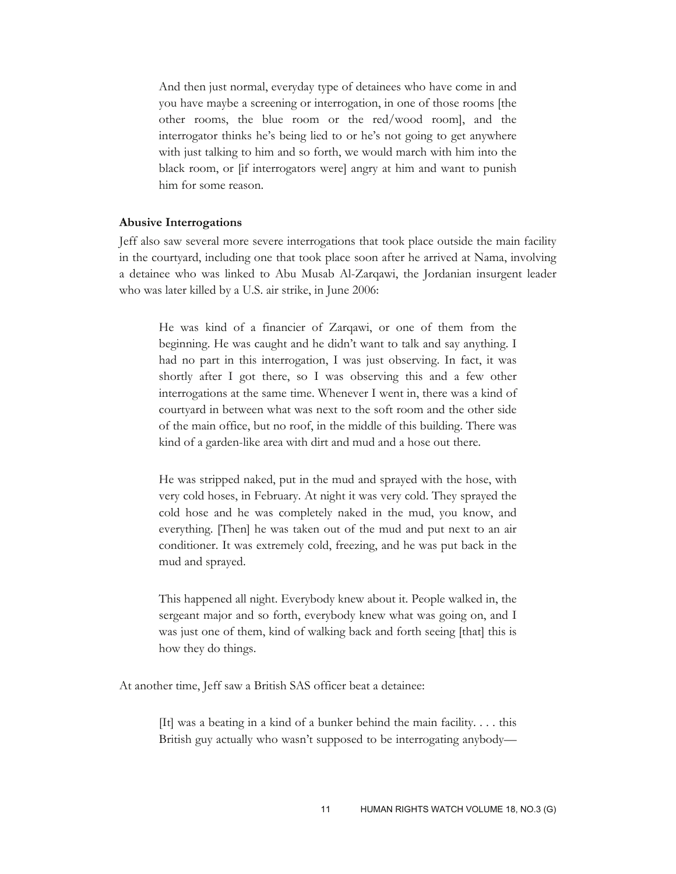And then just normal, everyday type of detainees who have come in and you have maybe a screening or interrogation, in one of those rooms [the other rooms, the blue room or the red/wood room], and the interrogator thinks he's being lied to or he's not going to get anywhere with just talking to him and so forth, we would march with him into the black room, or [if interrogators were] angry at him and want to punish him for some reason.

## **Abusive Interrogations**

Jeff also saw several more severe interrogations that took place outside the main facility in the courtyard, including one that took place soon after he arrived at Nama, involving a detainee who was linked to Abu Musab Al-Zarqawi, the Jordanian insurgent leader who was later killed by a U.S. air strike, in June 2006:

He was kind of a financier of Zarqawi, or one of them from the beginning. He was caught and he didn't want to talk and say anything. I had no part in this interrogation, I was just observing. In fact, it was shortly after I got there, so I was observing this and a few other interrogations at the same time. Whenever I went in, there was a kind of courtyard in between what was next to the soft room and the other side of the main office, but no roof, in the middle of this building. There was kind of a garden-like area with dirt and mud and a hose out there.

He was stripped naked, put in the mud and sprayed with the hose, with very cold hoses, in February. At night it was very cold. They sprayed the cold hose and he was completely naked in the mud, you know, and everything. [Then] he was taken out of the mud and put next to an air conditioner. It was extremely cold, freezing, and he was put back in the mud and sprayed.

This happened all night. Everybody knew about it. People walked in, the sergeant major and so forth, everybody knew what was going on, and I was just one of them, kind of walking back and forth seeing [that] this is how they do things.

At another time, Jeff saw a British SAS officer beat a detainee:

[It] was a beating in a kind of a bunker behind the main facility. . . . this British guy actually who wasn't supposed to be interrogating anybody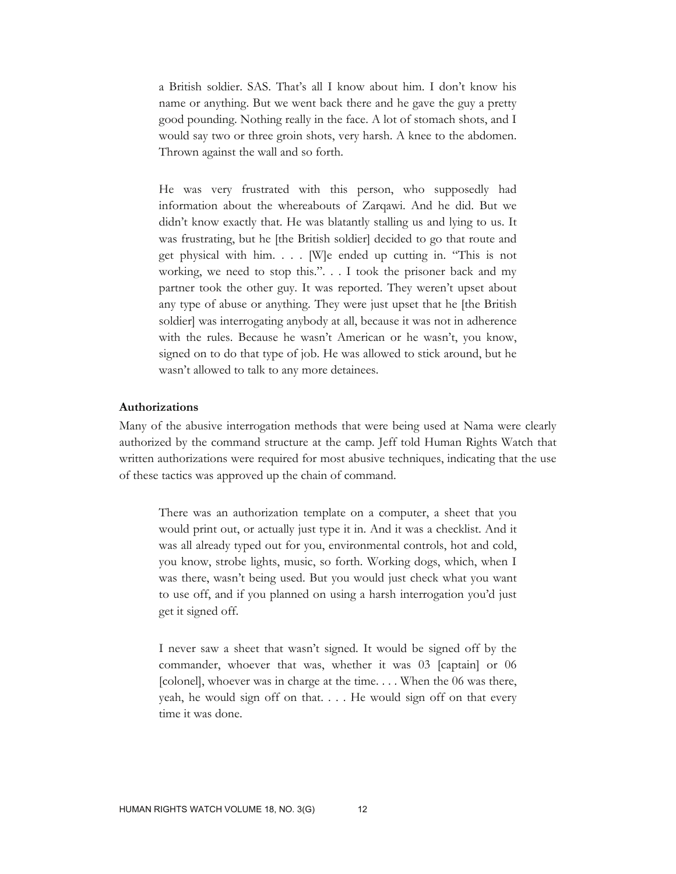a British soldier. SAS. That's all I know about him. I don't know his name or anything. But we went back there and he gave the guy a pretty good pounding. Nothing really in the face. A lot of stomach shots, and I would say two or three groin shots, very harsh. A knee to the abdomen. Thrown against the wall and so forth.

He was very frustrated with this person, who supposedly had information about the whereabouts of Zarqawi. And he did. But we didn't know exactly that. He was blatantly stalling us and lying to us. It was frustrating, but he [the British soldier] decided to go that route and get physical with him. . . . [W]e ended up cutting in. "This is not working, we need to stop this.". . . I took the prisoner back and my partner took the other guy. It was reported. They weren't upset about any type of abuse or anything. They were just upset that he [the British soldier] was interrogating anybody at all, because it was not in adherence with the rules. Because he wasn't American or he wasn't, you know, signed on to do that type of job. He was allowed to stick around, but he wasn't allowed to talk to any more detainees.

## **Authorizations**

Many of the abusive interrogation methods that were being used at Nama were clearly authorized by the command structure at the camp. Jeff told Human Rights Watch that written authorizations were required for most abusive techniques, indicating that the use of these tactics was approved up the chain of command.

There was an authorization template on a computer, a sheet that you would print out, or actually just type it in. And it was a checklist. And it was all already typed out for you, environmental controls, hot and cold, you know, strobe lights, music, so forth. Working dogs, which, when I was there, wasn't being used. But you would just check what you want to use off, and if you planned on using a harsh interrogation you'd just get it signed off.

I never saw a sheet that wasn't signed. It would be signed off by the commander, whoever that was, whether it was 03 [captain] or 06 [colonel], whoever was in charge at the time. . . . When the 06 was there, yeah, he would sign off on that. . . . He would sign off on that every time it was done.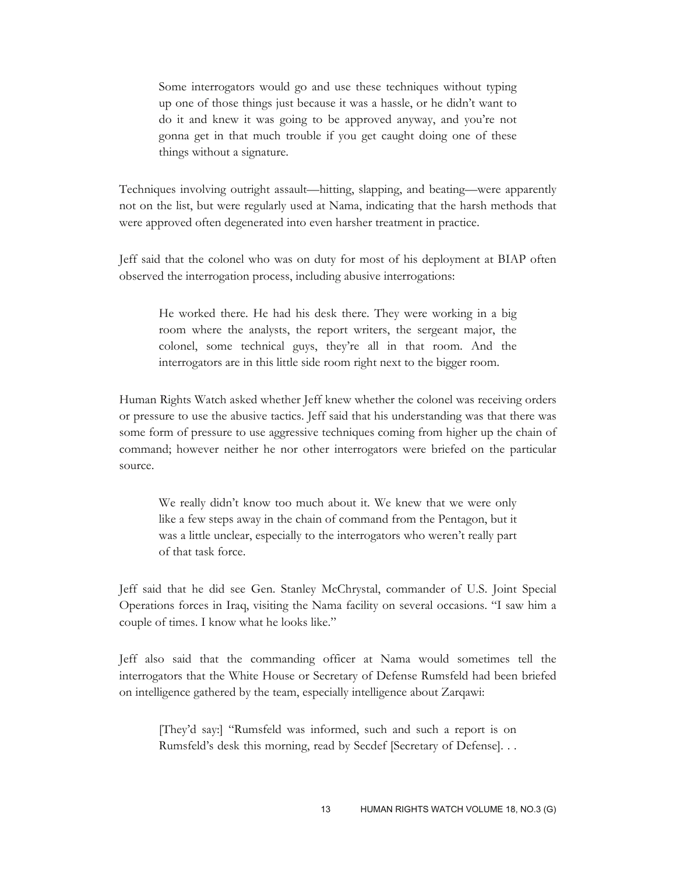Some interrogators would go and use these techniques without typing up one of those things just because it was a hassle, or he didn't want to do it and knew it was going to be approved anyway, and you're not gonna get in that much trouble if you get caught doing one of these things without a signature.

Techniques involving outright assault—hitting, slapping, and beating—were apparently not on the list, but were regularly used at Nama, indicating that the harsh methods that were approved often degenerated into even harsher treatment in practice.

Jeff said that the colonel who was on duty for most of his deployment at BIAP often observed the interrogation process, including abusive interrogations:

He worked there. He had his desk there. They were working in a big room where the analysts, the report writers, the sergeant major, the colonel, some technical guys, they're all in that room. And the interrogators are in this little side room right next to the bigger room.

Human Rights Watch asked whether Jeff knew whether the colonel was receiving orders or pressure to use the abusive tactics. Jeff said that his understanding was that there was some form of pressure to use aggressive techniques coming from higher up the chain of command; however neither he nor other interrogators were briefed on the particular source.

We really didn't know too much about it. We knew that we were only like a few steps away in the chain of command from the Pentagon, but it was a little unclear, especially to the interrogators who weren't really part of that task force.

Jeff said that he did see Gen. Stanley McChrystal, commander of U.S. Joint Special Operations forces in Iraq, visiting the Nama facility on several occasions. "I saw him a couple of times. I know what he looks like."

Jeff also said that the commanding officer at Nama would sometimes tell the interrogators that the White House or Secretary of Defense Rumsfeld had been briefed on intelligence gathered by the team, especially intelligence about Zarqawi:

[They'd say:] "Rumsfeld was informed, such and such a report is on Rumsfeld's desk this morning, read by Secdef [Secretary of Defense]. . .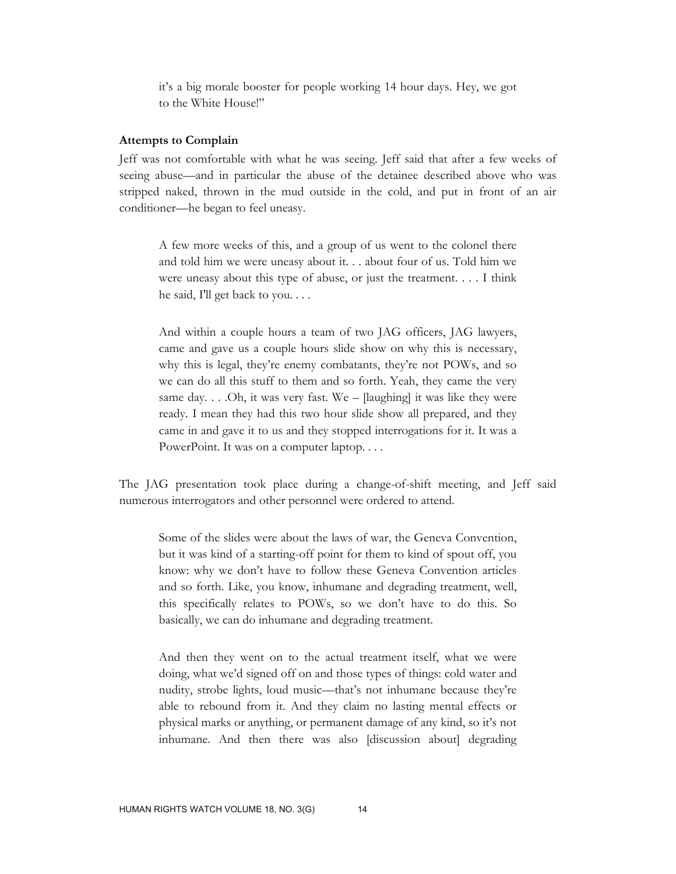it's a big morale booster for people working 14 hour days. Hey, we got to the White House!"

## **Attempts to Complain**

Jeff was not comfortable with what he was seeing. Jeff said that after a few weeks of seeing abuse—and in particular the abuse of the detainee described above who was stripped naked, thrown in the mud outside in the cold, and put in front of an air conditioner—he began to feel uneasy.

A few more weeks of this, and a group of us went to the colonel there and told him we were uneasy about it. . . about four of us. Told him we were uneasy about this type of abuse, or just the treatment. . . . I think he said, I'll get back to you. . . .

And within a couple hours a team of two JAG officers, JAG lawyers, came and gave us a couple hours slide show on why this is necessary, why this is legal, they're enemy combatants, they're not POWs, and so we can do all this stuff to them and so forth. Yeah, they came the very same day.  $\ldots$  Oh, it was very fast. We – [laughing] it was like they were ready. I mean they had this two hour slide show all prepared, and they came in and gave it to us and they stopped interrogations for it. It was a PowerPoint. It was on a computer laptop....

The JAG presentation took place during a change-of-shift meeting, and Jeff said numerous interrogators and other personnel were ordered to attend.

Some of the slides were about the laws of war, the Geneva Convention, but it was kind of a starting-off point for them to kind of spout off, you know: why we don't have to follow these Geneva Convention articles and so forth. Like, you know, inhumane and degrading treatment, well, this specifically relates to POWs, so we don't have to do this. So basically, we can do inhumane and degrading treatment.

And then they went on to the actual treatment itself, what we were doing, what we'd signed off on and those types of things: cold water and nudity, strobe lights, loud music—that's not inhumane because they're able to rebound from it. And they claim no lasting mental effects or physical marks or anything, or permanent damage of any kind, so it's not inhumane. And then there was also [discussion about] degrading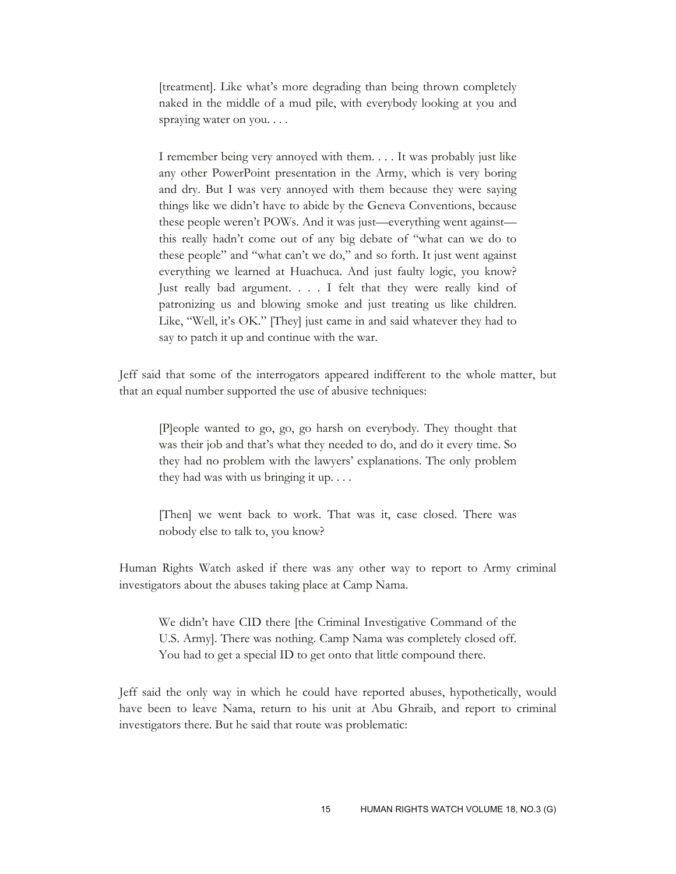[treatment]. Like what's more degrading than being thrown completely naked in the middle of a mud pile, with everybody looking at you and spraying water on you. . . .

I remember being very annoyed with them. . . . It was probably just like any other PowerPoint presentation in the Army, which is very boring and dry. But I was very annoyed with them because they were saying things like we didn't have to abide by the Geneva Conventions, because these people weren't POWs. And it was just—everything went against this really hadn't come out of any big debate of "what can we do to these people" and "what can't we do," and so forth. It just went against everything we learned at Huachuca. And just faulty logic, you know? Just really bad argument. . . . I felt that they were really kind of patronizing us and blowing smoke and just treating us like children. Like, "Well, it's OK." [They] just came in and said whatever they had to say to patch it up and continue with the war.

Jeff said that some of the interrogators appeared indifferent to the whole matter, but that an equal number supported the use of abusive techniques:

[P]eople wanted to go, go, go harsh on everybody. They thought that was their job and that's what they needed to do, and do it every time. So they had no problem with the lawyers' explanations. The only problem they had was with us bringing it up. . . .

[Then] we went back to work. That was it, case closed. There was nobody else to talk to, you know?

Human Rights Watch asked if there was any other way to report to Army criminal investigators about the abuses taking place at Camp Nama.

We didn't have CID there [the Criminal Investigative Command of the U.S. Army]. There was nothing. Camp Nama was completely closed off. You had to get a special ID to get onto that little compound there.

Jeff said the only way in which he could have reported abuses, hypothetically, would have been to leave Nama, return to his unit at Abu Ghraib, and report to criminal investigators there. But he said that route was problematic: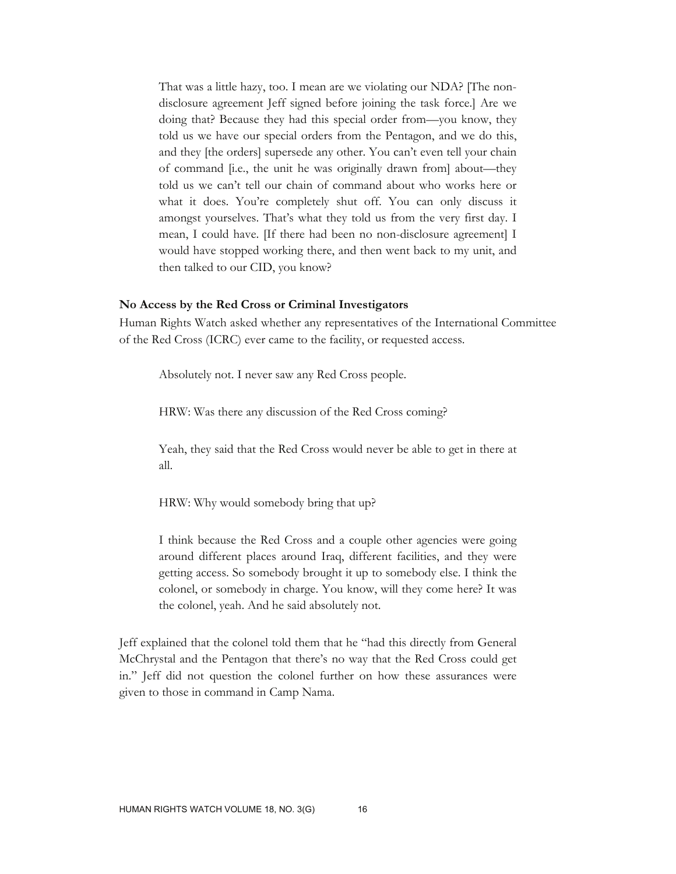That was a little hazy, too. I mean are we violating our NDA? [The nondisclosure agreement Jeff signed before joining the task force.] Are we doing that? Because they had this special order from—you know, they told us we have our special orders from the Pentagon, and we do this, and they [the orders] supersede any other. You can't even tell your chain of command [i.e., the unit he was originally drawn from] about—they told us we can't tell our chain of command about who works here or what it does. You're completely shut off. You can only discuss it amongst yourselves. That's what they told us from the very first day. I mean, I could have. [If there had been no non-disclosure agreement] I would have stopped working there, and then went back to my unit, and then talked to our CID, you know?

## **No Access by the Red Cross or Criminal Investigators**

Human Rights Watch asked whether any representatives of the International Committee of the Red Cross (ICRC) ever came to the facility, or requested access.

Absolutely not. I never saw any Red Cross people.

HRW: Was there any discussion of the Red Cross coming?

Yeah, they said that the Red Cross would never be able to get in there at all.

HRW: Why would somebody bring that up?

I think because the Red Cross and a couple other agencies were going around different places around Iraq, different facilities, and they were getting access. So somebody brought it up to somebody else. I think the colonel, or somebody in charge. You know, will they come here? It was the colonel, yeah. And he said absolutely not.

Jeff explained that the colonel told them that he "had this directly from General McChrystal and the Pentagon that there's no way that the Red Cross could get in." Jeff did not question the colonel further on how these assurances were given to those in command in Camp Nama.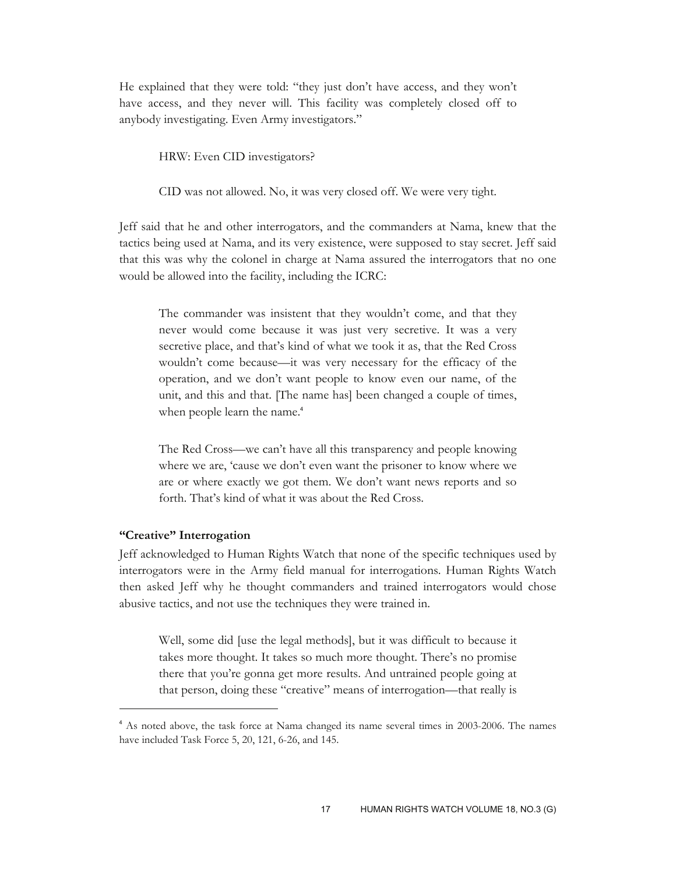He explained that they were told: "they just don't have access, and they won't have access, and they never will. This facility was completely closed off to anybody investigating. Even Army investigators."

HRW: Even CID investigators?

CID was not allowed. No, it was very closed off. We were very tight.

Jeff said that he and other interrogators, and the commanders at Nama, knew that the tactics being used at Nama, and its very existence, were supposed to stay secret. Jeff said that this was why the colonel in charge at Nama assured the interrogators that no one would be allowed into the facility, including the ICRC:

The commander was insistent that they wouldn't come, and that they never would come because it was just very secretive. It was a very secretive place, and that's kind of what we took it as, that the Red Cross wouldn't come because—it was very necessary for the efficacy of the operation, and we don't want people to know even our name, of the unit, and this and that. [The name has] been changed a couple of times, when people learn the name.<sup>4</sup>

The Red Cross—we can't have all this transparency and people knowing where we are, 'cause we don't even want the prisoner to know where we are or where exactly we got them. We don't want news reports and so forth. That's kind of what it was about the Red Cross.

## **"Creative" Interrogation**

 $\overline{a}$ 

Jeff acknowledged to Human Rights Watch that none of the specific techniques used by interrogators were in the Army field manual for interrogations. Human Rights Watch then asked Jeff why he thought commanders and trained interrogators would chose abusive tactics, and not use the techniques they were trained in.

Well, some did [use the legal methods], but it was difficult to because it takes more thought. It takes so much more thought. There's no promise there that you're gonna get more results. And untrained people going at that person, doing these "creative" means of interrogation—that really is

<sup>4</sup> As noted above, the task force at Nama changed its name several times in 2003-2006. The names have included Task Force 5, 20, 121, 6-26, and 145.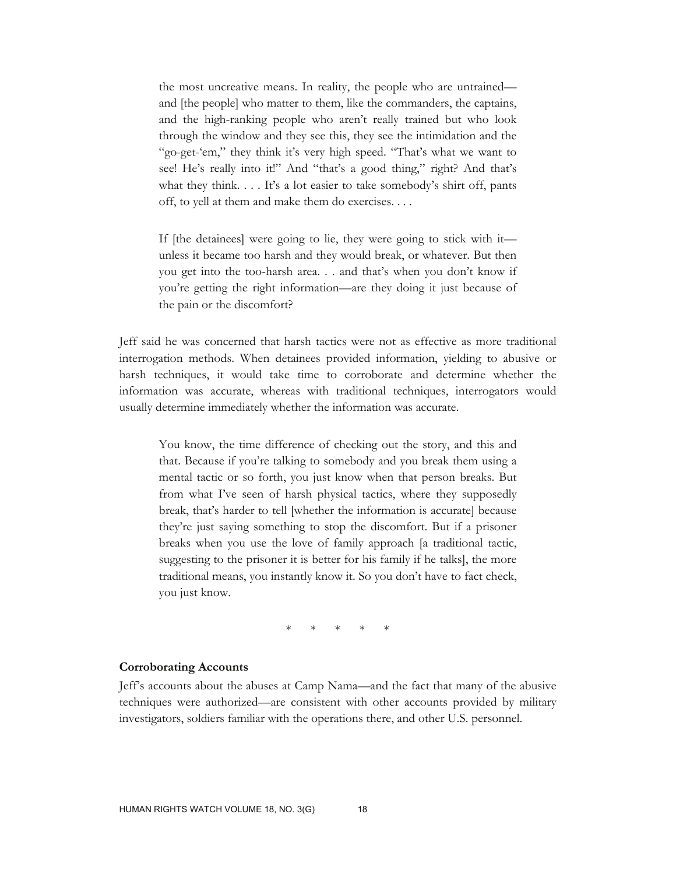the most uncreative means. In reality, the people who are untrained and [the people] who matter to them, like the commanders, the captains, and the high-ranking people who aren't really trained but who look through the window and they see this, they see the intimidation and the "go-get-'em," they think it's very high speed. "That's what we want to see! He's really into it!" And "that's a good thing," right? And that's what they think. . . . It's a lot easier to take somebody's shirt off, pants off, to yell at them and make them do exercises. . . .

If [the detainees] were going to lie, they were going to stick with it unless it became too harsh and they would break, or whatever. But then you get into the too-harsh area. . . and that's when you don't know if you're getting the right information—are they doing it just because of the pain or the discomfort?

Jeff said he was concerned that harsh tactics were not as effective as more traditional interrogation methods. When detainees provided information, yielding to abusive or harsh techniques, it would take time to corroborate and determine whether the information was accurate, whereas with traditional techniques, interrogators would usually determine immediately whether the information was accurate.

You know, the time difference of checking out the story, and this and that. Because if you're talking to somebody and you break them using a mental tactic or so forth, you just know when that person breaks. But from what I've seen of harsh physical tactics, where they supposedly break, that's harder to tell [whether the information is accurate] because they're just saying something to stop the discomfort. But if a prisoner breaks when you use the love of family approach [a traditional tactic, suggesting to the prisoner it is better for his family if he talks], the more traditional means, you instantly know it. So you don't have to fact check, you just know.

\* \* \* \* \*

## **Corroborating Accounts**

Jeff's accounts about the abuses at Camp Nama—and the fact that many of the abusive techniques were authorized—are consistent with other accounts provided by military investigators, soldiers familiar with the operations there, and other U.S. personnel.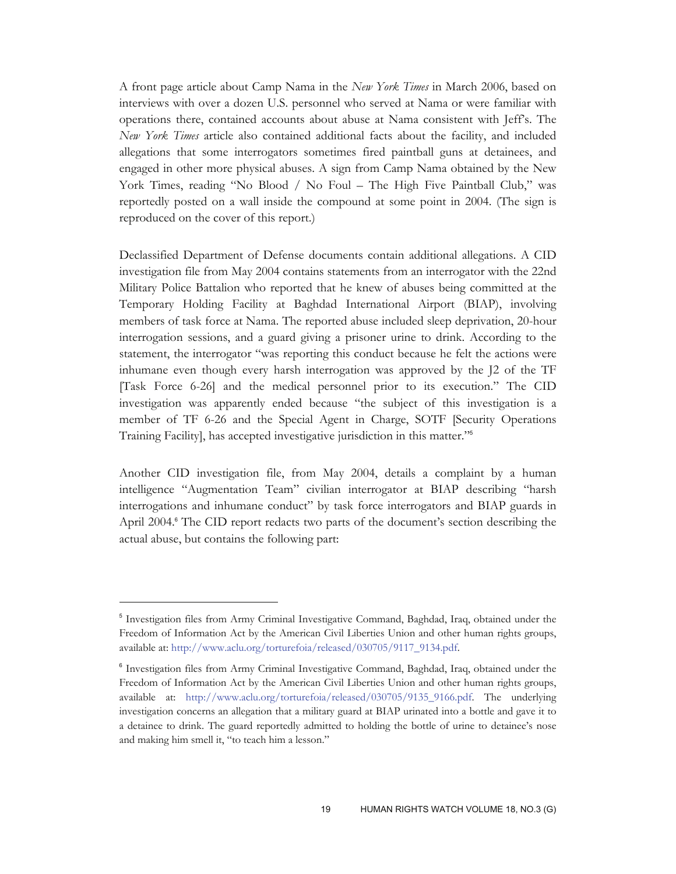A front page article about Camp Nama in the *New York Times* in March 2006, based on interviews with over a dozen U.S. personnel who served at Nama or were familiar with operations there, contained accounts about abuse at Nama consistent with Jeff's. The *New York Times* article also contained additional facts about the facility, and included allegations that some interrogators sometimes fired paintball guns at detainees, and engaged in other more physical abuses. A sign from Camp Nama obtained by the New York Times, reading "No Blood / No Foul – The High Five Paintball Club," was reportedly posted on a wall inside the compound at some point in 2004. (The sign is reproduced on the cover of this report.)

Declassified Department of Defense documents contain additional allegations. A CID investigation file from May 2004 contains statements from an interrogator with the 22nd Military Police Battalion who reported that he knew of abuses being committed at the Temporary Holding Facility at Baghdad International Airport (BIAP), involving members of task force at Nama. The reported abuse included sleep deprivation, 20-hour interrogation sessions, and a guard giving a prisoner urine to drink. According to the statement, the interrogator "was reporting this conduct because he felt the actions were inhumane even though every harsh interrogation was approved by the J2 of the TF [Task Force 6-26] and the medical personnel prior to its execution." The CID investigation was apparently ended because "the subject of this investigation is a member of TF 6-26 and the Special Agent in Charge, SOTF [Security Operations Training Facility], has accepted investigative jurisdiction in this matter."<sup>5</sup>

Another CID investigation file, from May 2004, details a complaint by a human intelligence "Augmentation Team" civilian interrogator at BIAP describing "harsh interrogations and inhumane conduct" by task force interrogators and BIAP guards in April 2004.<sup>6</sup> The CID report redacts two parts of the document's section describing the actual abuse, but contains the following part:

<sup>&</sup>lt;sup>5</sup> Investigation files from Army Criminal Investigative Command, Baghdad, Iraq, obtained under the Freedom of Information Act by the American Civil Liberties Union and other human rights groups, available at: http://www.aclu.org/torturefoia/released/030705/9117\_9134.pdf.

<sup>&</sup>lt;sup>6</sup> Investigation files from Army Criminal Investigative Command, Baghdad, Iraq, obtained under the Freedom of Information Act by the American Civil Liberties Union and other human rights groups, available at: http://www.aclu.org/torturefoia/released/030705/9135\_9166.pdf. The underlying investigation concerns an allegation that a military guard at BIAP urinated into a bottle and gave it to a detainee to drink. The guard reportedly admitted to holding the bottle of urine to detainee's nose and making him smell it, "to teach him a lesson."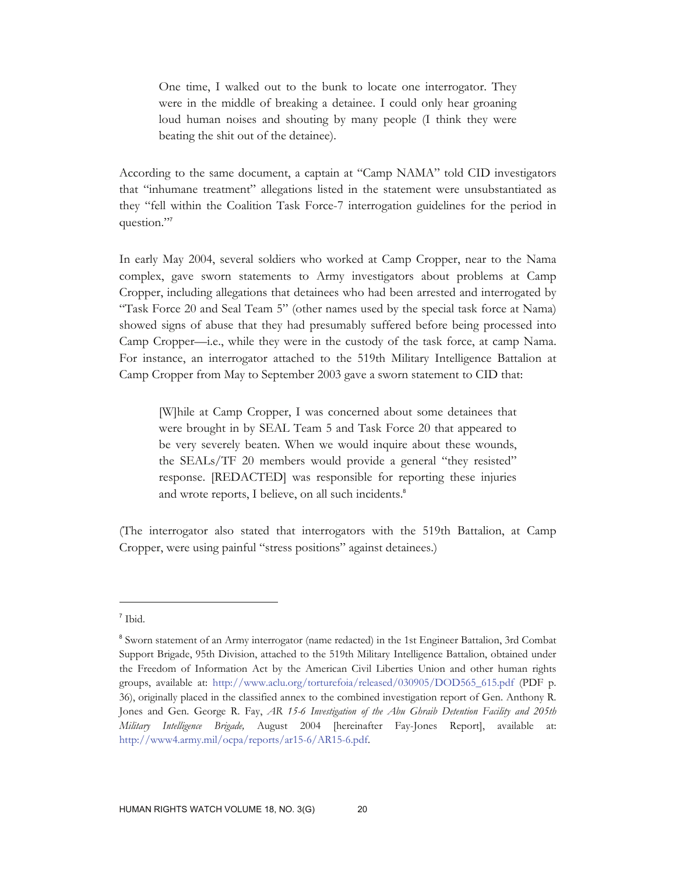One time, I walked out to the bunk to locate one interrogator. They were in the middle of breaking a detainee. I could only hear groaning loud human noises and shouting by many people (I think they were beating the shit out of the detainee).

According to the same document, a captain at "Camp NAMA" told CID investigators that "inhumane treatment" allegations listed in the statement were unsubstantiated as they "fell within the Coalition Task Force-7 interrogation guidelines for the period in question."<sup>7</sup>

In early May 2004, several soldiers who worked at Camp Cropper, near to the Nama complex, gave sworn statements to Army investigators about problems at Camp Cropper, including allegations that detainees who had been arrested and interrogated by "Task Force 20 and Seal Team 5" (other names used by the special task force at Nama) showed signs of abuse that they had presumably suffered before being processed into Camp Cropper—i.e., while they were in the custody of the task force, at camp Nama. For instance, an interrogator attached to the 519th Military Intelligence Battalion at Camp Cropper from May to September 2003 gave a sworn statement to CID that:

[W]hile at Camp Cropper, I was concerned about some detainees that were brought in by SEAL Team 5 and Task Force 20 that appeared to be very severely beaten. When we would inquire about these wounds, the SEALs/TF 20 members would provide a general "they resisted" response. [REDACTED] was responsible for reporting these injuries and wrote reports, I believe, on all such incidents.<sup>8</sup>

(The interrogator also stated that interrogators with the 519th Battalion, at Camp Cropper, were using painful "stress positions" against detainees.)

<sup>7</sup> Ibid.

<sup>8</sup> Sworn statement of an Army interrogator (name redacted) in the 1st Engineer Battalion, 3rd Combat Support Brigade, 95th Division, attached to the 519th Military Intelligence Battalion, obtained under the Freedom of Information Act by the American Civil Liberties Union and other human rights groups, available at: http://www.aclu.org/torturefoia/released/030905/DOD565\_615.pdf (PDF p. 36), originally placed in the classified annex to the combined investigation report of Gen. Anthony R. Jones and Gen. George R. Fay, *AR 15-6 Investigation of the Abu Ghraib Detention Facility and 205th Military Intelligence Brigade,* August 2004 [hereinafter Fay-Jones Report], available at: http://www4.army.mil/ocpa/reports/ar15-6/AR15-6.pdf.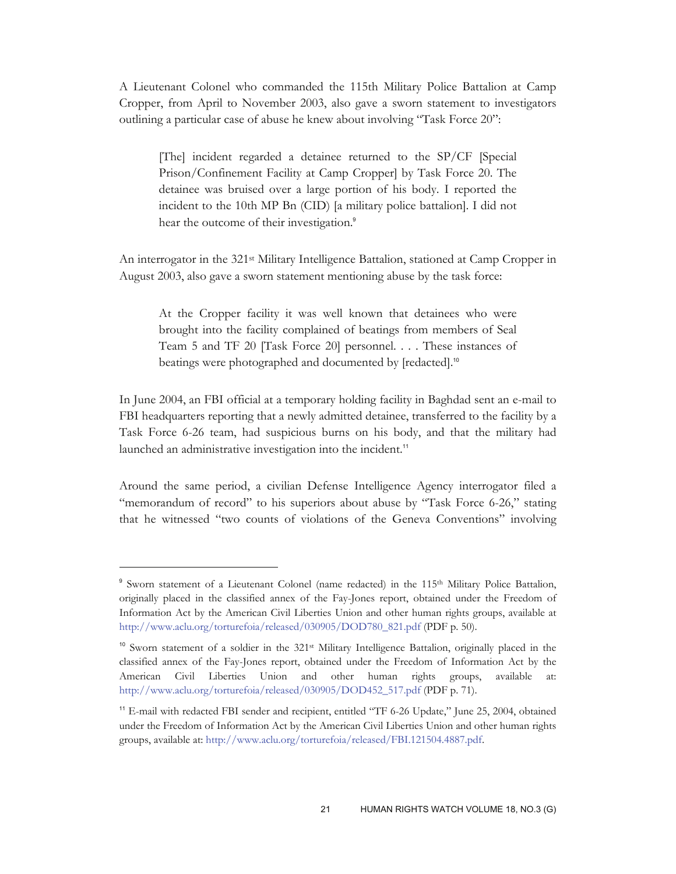A Lieutenant Colonel who commanded the 115th Military Police Battalion at Camp Cropper, from April to November 2003, also gave a sworn statement to investigators outlining a particular case of abuse he knew about involving "Task Force 20":

[The] incident regarded a detainee returned to the SP/CF [Special Prison/Confinement Facility at Camp Cropper] by Task Force 20. The detainee was bruised over a large portion of his body. I reported the incident to the 10th MP Bn (CID) [a military police battalion]. I did not hear the outcome of their investigation.<sup>9</sup>

An interrogator in the 321st Military Intelligence Battalion, stationed at Camp Cropper in August 2003, also gave a sworn statement mentioning abuse by the task force:

At the Cropper facility it was well known that detainees who were brought into the facility complained of beatings from members of Seal Team 5 and TF 20 [Task Force 20] personnel. . . . These instances of beatings were photographed and documented by [redacted].<sup>10</sup>

In June 2004, an FBI official at a temporary holding facility in Baghdad sent an e-mail to FBI headquarters reporting that a newly admitted detainee, transferred to the facility by a Task Force 6-26 team, had suspicious burns on his body, and that the military had launched an administrative investigation into the incident.<sup>11</sup>

Around the same period, a civilian Defense Intelligence Agency interrogator filed a "memorandum of record" to his superiors about abuse by "Task Force 6-26," stating that he witnessed "two counts of violations of the Geneva Conventions" involving

-

<sup>&</sup>lt;sup>9</sup> Sworn statement of a Lieutenant Colonel (name redacted) in the 115<sup>th</sup> Military Police Battalion, originally placed in the classified annex of the Fay-Jones report, obtained under the Freedom of Information Act by the American Civil Liberties Union and other human rights groups, available at http://www.aclu.org/torturefoia/released/030905/DOD780\_821.pdf (PDF p. 50).

<sup>10</sup> Sworn statement of a soldier in the 321st Military Intelligence Battalion, originally placed in the classified annex of the Fay-Jones report, obtained under the Freedom of Information Act by the American Civil Liberties Union and other human rights groups, available at: http://www.aclu.org/torturefoia/released/030905/DOD452\_517.pdf (PDF p. 71).

<sup>11</sup> E-mail with redacted FBI sender and recipient, entitled "TF 6-26 Update," June 25, 2004, obtained under the Freedom of Information Act by the American Civil Liberties Union and other human rights groups, available at: http://www.aclu.org/torturefoia/released/FBI.121504.4887.pdf.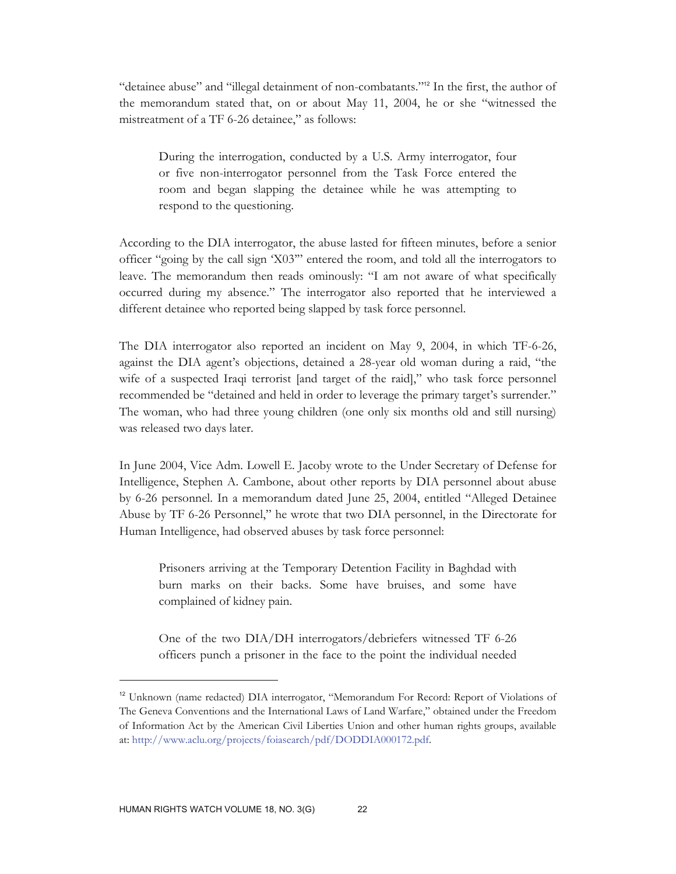"detainee abuse" and "illegal detainment of non-combatants."12 In the first, the author of the memorandum stated that, on or about May 11, 2004, he or she "witnessed the mistreatment of a TF 6-26 detainee," as follows:

During the interrogation, conducted by a U.S. Army interrogator, four or five non-interrogator personnel from the Task Force entered the room and began slapping the detainee while he was attempting to respond to the questioning.

According to the DIA interrogator, the abuse lasted for fifteen minutes, before a senior officer "going by the call sign 'X03'" entered the room, and told all the interrogators to leave. The memorandum then reads ominously: "I am not aware of what specifically occurred during my absence." The interrogator also reported that he interviewed a different detainee who reported being slapped by task force personnel.

The DIA interrogator also reported an incident on May 9, 2004, in which TF-6-26, against the DIA agent's objections, detained a 28-year old woman during a raid, "the wife of a suspected Iraqi terrorist [and target of the raid]," who task force personnel recommended be "detained and held in order to leverage the primary target's surrender." The woman, who had three young children (one only six months old and still nursing) was released two days later.

In June 2004, Vice Adm. Lowell E. Jacoby wrote to the Under Secretary of Defense for Intelligence, Stephen A. Cambone, about other reports by DIA personnel about abuse by 6-26 personnel. In a memorandum dated June 25, 2004, entitled "Alleged Detainee Abuse by TF 6-26 Personnel," he wrote that two DIA personnel, in the Directorate for Human Intelligence, had observed abuses by task force personnel:

Prisoners arriving at the Temporary Detention Facility in Baghdad with burn marks on their backs. Some have bruises, and some have complained of kidney pain.

One of the two DIA/DH interrogators/debriefers witnessed TF 6-26 officers punch a prisoner in the face to the point the individual needed

<sup>12</sup> Unknown (name redacted) DIA interrogator, "Memorandum For Record: Report of Violations of The Geneva Conventions and the International Laws of Land Warfare," obtained under the Freedom of Information Act by the American Civil Liberties Union and other human rights groups, available at: http://www.aclu.org/projects/foiasearch/pdf/DODDIA000172.pdf.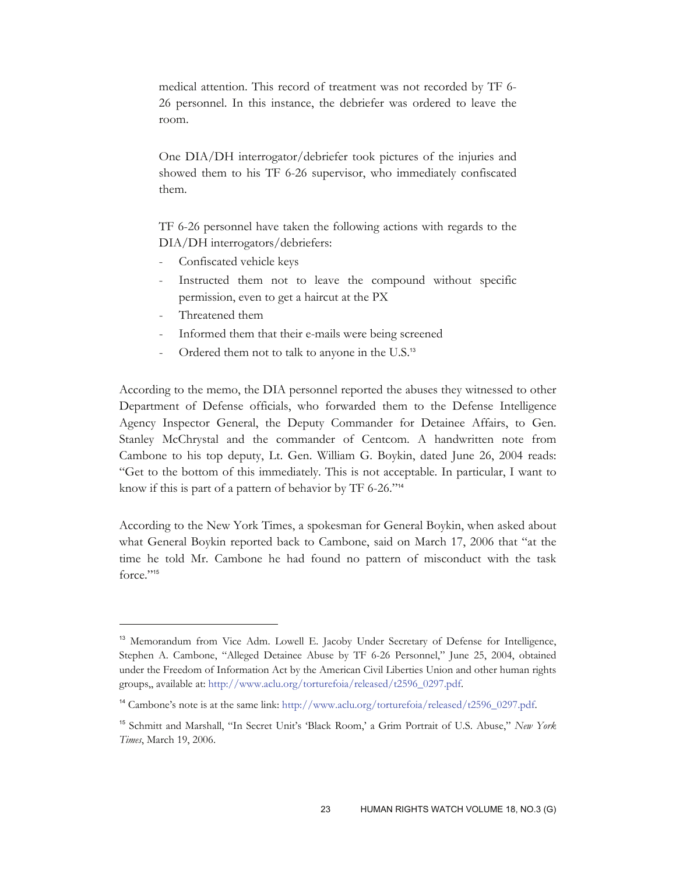medical attention. This record of treatment was not recorded by TF 6- 26 personnel. In this instance, the debriefer was ordered to leave the room.

One DIA/DH interrogator/debriefer took pictures of the injuries and showed them to his TF 6-26 supervisor, who immediately confiscated them.

TF 6-26 personnel have taken the following actions with regards to the DIA/DH interrogators/debriefers:

- Confiscated vehicle keys
- Instructed them not to leave the compound without specific permission, even to get a haircut at the PX
- Threatened them

-

- Informed them that their e-mails were being screened
- Ordered them not to talk to anyone in the U.S.<sup>13</sup>

According to the memo, the DIA personnel reported the abuses they witnessed to other Department of Defense officials, who forwarded them to the Defense Intelligence Agency Inspector General, the Deputy Commander for Detainee Affairs, to Gen. Stanley McChrystal and the commander of Centcom. A handwritten note from Cambone to his top deputy, Lt. Gen. William G. Boykin, dated June 26, 2004 reads: "Get to the bottom of this immediately. This is not acceptable. In particular, I want to know if this is part of a pattern of behavior by TF 6-26."<sup>14</sup>

According to the New York Times, a spokesman for General Boykin, when asked about what General Boykin reported back to Cambone, said on March 17, 2006 that "at the time he told Mr. Cambone he had found no pattern of misconduct with the task force."<sup>15</sup>

<sup>&</sup>lt;sup>13</sup> Memorandum from Vice Adm. Lowell E. Jacoby Under Secretary of Defense for Intelligence, Stephen A. Cambone, "Alleged Detainee Abuse by TF 6-26 Personnel," June 25, 2004, obtained under the Freedom of Information Act by the American Civil Liberties Union and other human rights groups,, available at: http://www.aclu.org/torturefoia/released/t2596\_0297.pdf.

<sup>&</sup>lt;sup>14</sup> Cambone's note is at the same link: http://www.aclu.org/torturefoia/released/t2596\_0297.pdf.

<sup>15</sup> Schmitt and Marshall, "In Secret Unit's 'Black Room,' a Grim Portrait of U.S. Abuse," *New York Times*, March 19, 2006.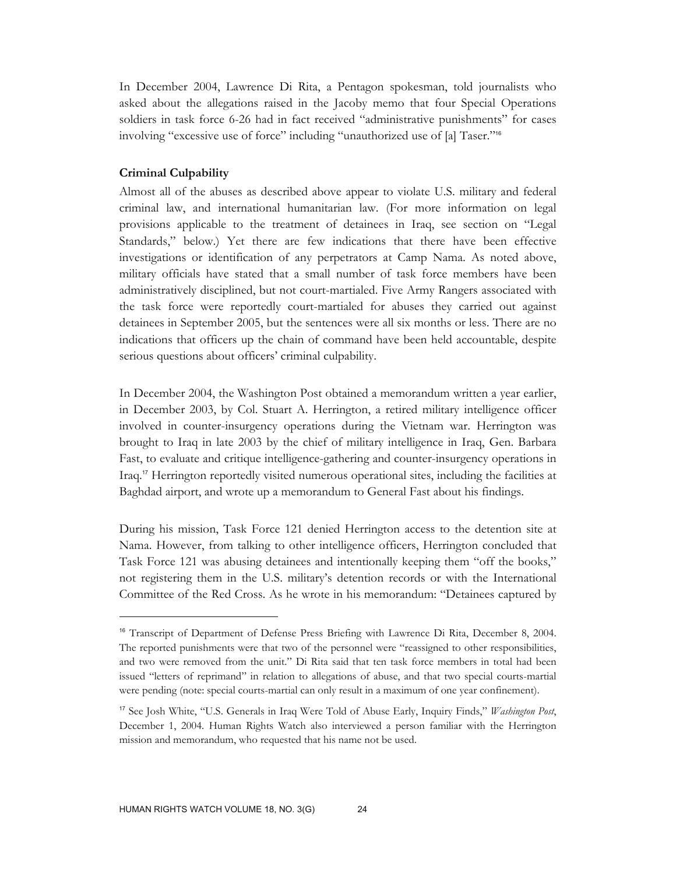In December 2004, Lawrence Di Rita, a Pentagon spokesman, told journalists who asked about the allegations raised in the Jacoby memo that four Special Operations soldiers in task force 6-26 had in fact received "administrative punishments" for cases involving "excessive use of force" including "unauthorized use of [a] Taser."<sup>16</sup>

## **Criminal Culpability**

 $\overline{a}$ 

Almost all of the abuses as described above appear to violate U.S. military and federal criminal law, and international humanitarian law. (For more information on legal provisions applicable to the treatment of detainees in Iraq, see section on "Legal Standards," below.) Yet there are few indications that there have been effective investigations or identification of any perpetrators at Camp Nama. As noted above, military officials have stated that a small number of task force members have been administratively disciplined, but not court-martialed. Five Army Rangers associated with the task force were reportedly court-martialed for abuses they carried out against detainees in September 2005, but the sentences were all six months or less. There are no indications that officers up the chain of command have been held accountable, despite serious questions about officers' criminal culpability.

In December 2004, the Washington Post obtained a memorandum written a year earlier, in December 2003, by Col. Stuart A. Herrington, a retired military intelligence officer involved in counter-insurgency operations during the Vietnam war. Herrington was brought to Iraq in late 2003 by the chief of military intelligence in Iraq, Gen. Barbara Fast, to evaluate and critique intelligence-gathering and counter-insurgency operations in Iraq.17 Herrington reportedly visited numerous operational sites, including the facilities at Baghdad airport, and wrote up a memorandum to General Fast about his findings.

During his mission, Task Force 121 denied Herrington access to the detention site at Nama. However, from talking to other intelligence officers, Herrington concluded that Task Force 121 was abusing detainees and intentionally keeping them "off the books," not registering them in the U.S. military's detention records or with the International Committee of the Red Cross. As he wrote in his memorandum: "Detainees captured by

<sup>&</sup>lt;sup>16</sup> Transcript of Department of Defense Press Briefing with Lawrence Di Rita, December 8, 2004. The reported punishments were that two of the personnel were "reassigned to other responsibilities, and two were removed from the unit." Di Rita said that ten task force members in total had been issued "letters of reprimand" in relation to allegations of abuse, and that two special courts-martial were pending (note: special courts-martial can only result in a maximum of one year confinement).

<sup>17</sup> See Josh White, "U.S. Generals in Iraq Were Told of Abuse Early, Inquiry Finds," *Washington Post*, December 1, 2004. Human Rights Watch also interviewed a person familiar with the Herrington mission and memorandum, who requested that his name not be used.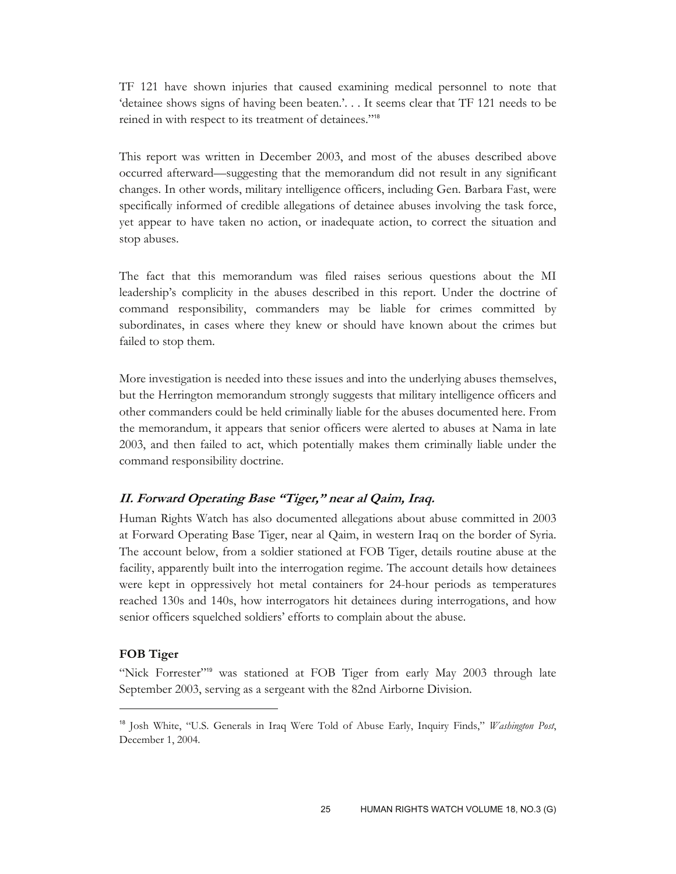TF 121 have shown injuries that caused examining medical personnel to note that 'detainee shows signs of having been beaten.'. . . It seems clear that TF 121 needs to be reined in with respect to its treatment of detainees."<sup>18</sup>

This report was written in December 2003, and most of the abuses described above occurred afterward—suggesting that the memorandum did not result in any significant changes. In other words, military intelligence officers, including Gen. Barbara Fast, were specifically informed of credible allegations of detainee abuses involving the task force, yet appear to have taken no action, or inadequate action, to correct the situation and stop abuses.

The fact that this memorandum was filed raises serious questions about the MI leadership's complicity in the abuses described in this report. Under the doctrine of command responsibility, commanders may be liable for crimes committed by subordinates, in cases where they knew or should have known about the crimes but failed to stop them.

More investigation is needed into these issues and into the underlying abuses themselves, but the Herrington memorandum strongly suggests that military intelligence officers and other commanders could be held criminally liable for the abuses documented here. From the memorandum, it appears that senior officers were alerted to abuses at Nama in late 2003, and then failed to act, which potentially makes them criminally liable under the command responsibility doctrine.

# **II. Forward Operating Base "Tiger," near al Qaim, Iraq.**

Human Rights Watch has also documented allegations about abuse committed in 2003 at Forward Operating Base Tiger, near al Qaim, in western Iraq on the border of Syria. The account below, from a soldier stationed at FOB Tiger, details routine abuse at the facility, apparently built into the interrogation regime. The account details how detainees were kept in oppressively hot metal containers for 24-hour periods as temperatures reached 130s and 140s, how interrogators hit detainees during interrogations, and how senior officers squelched soldiers' efforts to complain about the abuse.

## **FOB Tiger**

 $\overline{a}$ 

"Nick Forrester"<sup>19</sup> was stationed at FOB Tiger from early May 2003 through late September 2003, serving as a sergeant with the 82nd Airborne Division.

<sup>18</sup> Josh White, "U.S. Generals in Iraq Were Told of Abuse Early, Inquiry Finds," *Washington Post*, December 1, 2004.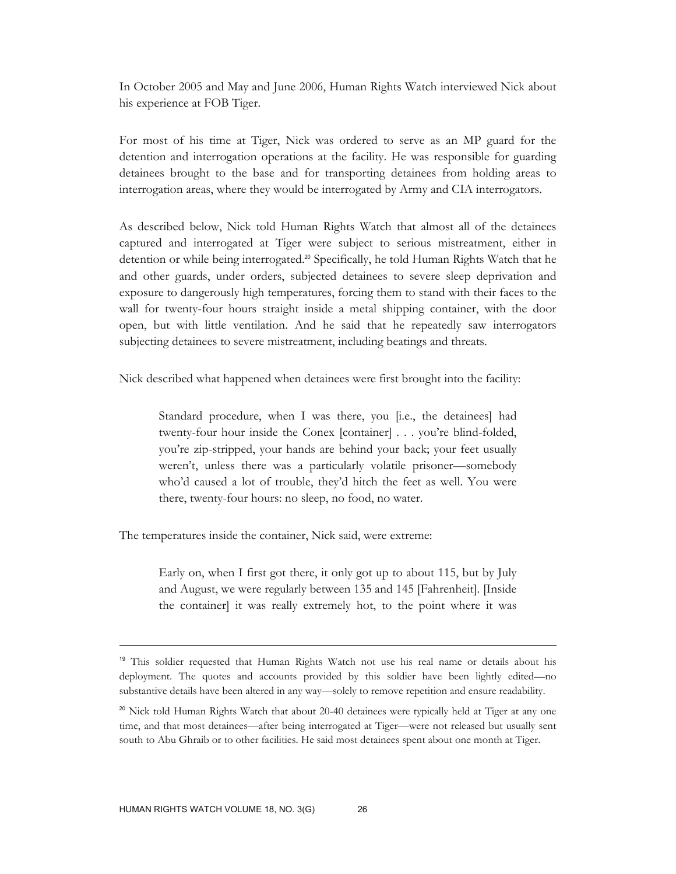In October 2005 and May and June 2006, Human Rights Watch interviewed Nick about his experience at FOB Tiger.

For most of his time at Tiger, Nick was ordered to serve as an MP guard for the detention and interrogation operations at the facility. He was responsible for guarding detainees brought to the base and for transporting detainees from holding areas to interrogation areas, where they would be interrogated by Army and CIA interrogators.

As described below, Nick told Human Rights Watch that almost all of the detainees captured and interrogated at Tiger were subject to serious mistreatment, either in detention or while being interrogated.20 Specifically, he told Human Rights Watch that he and other guards, under orders, subjected detainees to severe sleep deprivation and exposure to dangerously high temperatures, forcing them to stand with their faces to the wall for twenty-four hours straight inside a metal shipping container, with the door open, but with little ventilation. And he said that he repeatedly saw interrogators subjecting detainees to severe mistreatment, including beatings and threats.

Nick described what happened when detainees were first brought into the facility:

Standard procedure, when I was there, you [i.e., the detainees] had twenty-four hour inside the Conex [container] . . . you're blind-folded, you're zip-stripped, your hands are behind your back; your feet usually weren't, unless there was a particularly volatile prisoner—somebody who'd caused a lot of trouble, they'd hitch the feet as well. You were there, twenty-four hours: no sleep, no food, no water.

The temperatures inside the container, Nick said, were extreme:

Early on, when I first got there, it only got up to about 115, but by July and August, we were regularly between 135 and 145 [Fahrenheit]. [Inside the container] it was really extremely hot, to the point where it was

<sup>&</sup>lt;sup>19</sup> This soldier requested that Human Rights Watch not use his real name or details about his deployment. The quotes and accounts provided by this soldier have been lightly edited—no substantive details have been altered in any way—solely to remove repetition and ensure readability.

<sup>&</sup>lt;sup>20</sup> Nick told Human Rights Watch that about 20-40 detainees were typically held at Tiger at any one time, and that most detainees—after being interrogated at Tiger—were not released but usually sent south to Abu Ghraib or to other facilities. He said most detainees spent about one month at Tiger.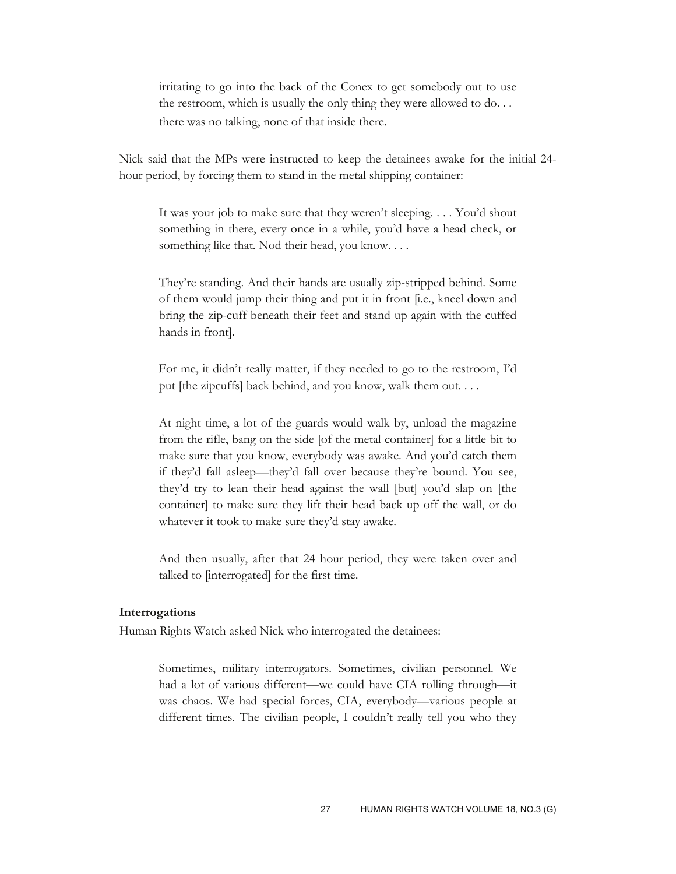irritating to go into the back of the Conex to get somebody out to use the restroom, which is usually the only thing they were allowed to do. . . there was no talking, none of that inside there.

Nick said that the MPs were instructed to keep the detainees awake for the initial 24 hour period, by forcing them to stand in the metal shipping container:

It was your job to make sure that they weren't sleeping. . . . You'd shout something in there, every once in a while, you'd have a head check, or something like that. Nod their head, you know....

They're standing. And their hands are usually zip-stripped behind. Some of them would jump their thing and put it in front [i.e., kneel down and bring the zip-cuff beneath their feet and stand up again with the cuffed hands in front].

For me, it didn't really matter, if they needed to go to the restroom, I'd put [the zipcuffs] back behind, and you know, walk them out. . . .

At night time, a lot of the guards would walk by, unload the magazine from the rifle, bang on the side [of the metal container] for a little bit to make sure that you know, everybody was awake. And you'd catch them if they'd fall asleep—they'd fall over because they're bound. You see, they'd try to lean their head against the wall [but] you'd slap on [the container] to make sure they lift their head back up off the wall, or do whatever it took to make sure they'd stay awake.

And then usually, after that 24 hour period, they were taken over and talked to [interrogated] for the first time.

# **Interrogations**

Human Rights Watch asked Nick who interrogated the detainees:

Sometimes, military interrogators. Sometimes, civilian personnel. We had a lot of various different—we could have CIA rolling through—it was chaos. We had special forces, CIA, everybody—various people at different times. The civilian people, I couldn't really tell you who they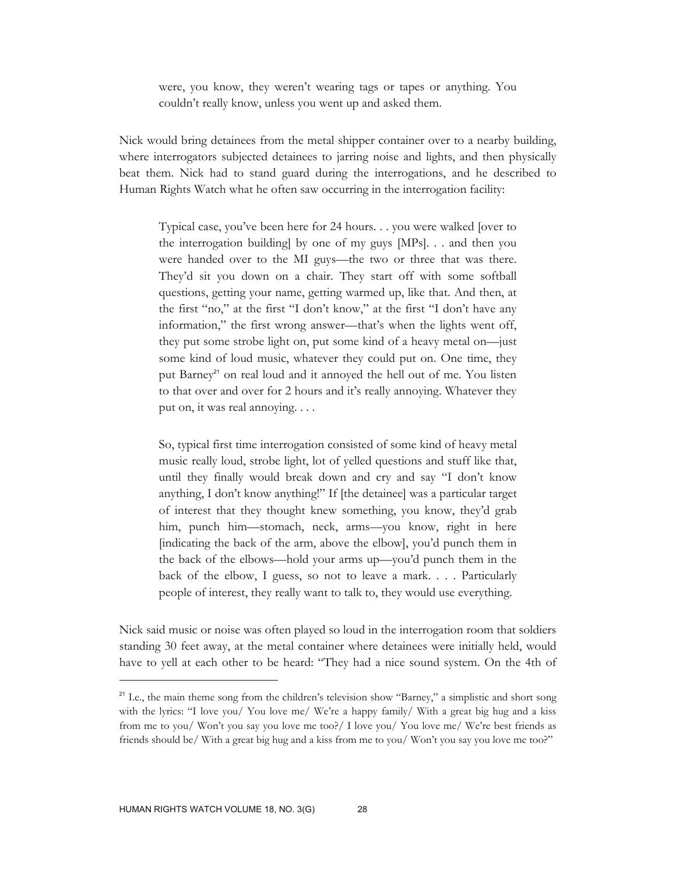were, you know, they weren't wearing tags or tapes or anything. You couldn't really know, unless you went up and asked them.

Nick would bring detainees from the metal shipper container over to a nearby building, where interrogators subjected detainees to jarring noise and lights, and then physically beat them. Nick had to stand guard during the interrogations, and he described to Human Rights Watch what he often saw occurring in the interrogation facility:

Typical case, you've been here for 24 hours. . . you were walked [over to the interrogation building] by one of my guys [MPs]. . . and then you were handed over to the MI guys—the two or three that was there. They'd sit you down on a chair. They start off with some softball questions, getting your name, getting warmed up, like that. And then, at the first "no," at the first "I don't know," at the first "I don't have any information," the first wrong answer—that's when the lights went off, they put some strobe light on, put some kind of a heavy metal on—just some kind of loud music, whatever they could put on. One time, they put Barney<sup>21</sup> on real loud and it annoyed the hell out of me. You listen to that over and over for 2 hours and it's really annoying. Whatever they put on, it was real annoying. . . .

So, typical first time interrogation consisted of some kind of heavy metal music really loud, strobe light, lot of yelled questions and stuff like that, until they finally would break down and cry and say "I don't know anything, I don't know anything!" If [the detainee] was a particular target of interest that they thought knew something, you know, they'd grab him, punch him—stomach, neck, arms—you know, right in here [indicating the back of the arm, above the elbow], you'd punch them in the back of the elbows—hold your arms up—you'd punch them in the back of the elbow, I guess, so not to leave a mark. . . . Particularly people of interest, they really want to talk to, they would use everything.

Nick said music or noise was often played so loud in the interrogation room that soldiers standing 30 feet away, at the metal container where detainees were initially held, would have to yell at each other to be heard: "They had a nice sound system. On the 4th of

 $2<sup>21</sup>$  I.e., the main theme song from the children's television show "Barney," a simplistic and short song with the lyrics: "I love you/ You love me/ We're a happy family/ With a great big hug and a kiss from me to you/ Won't you say you love me too?/ I love you/ You love me/ We're best friends as friends should be/ With a great big hug and a kiss from me to you/ Won't you say you love me too?"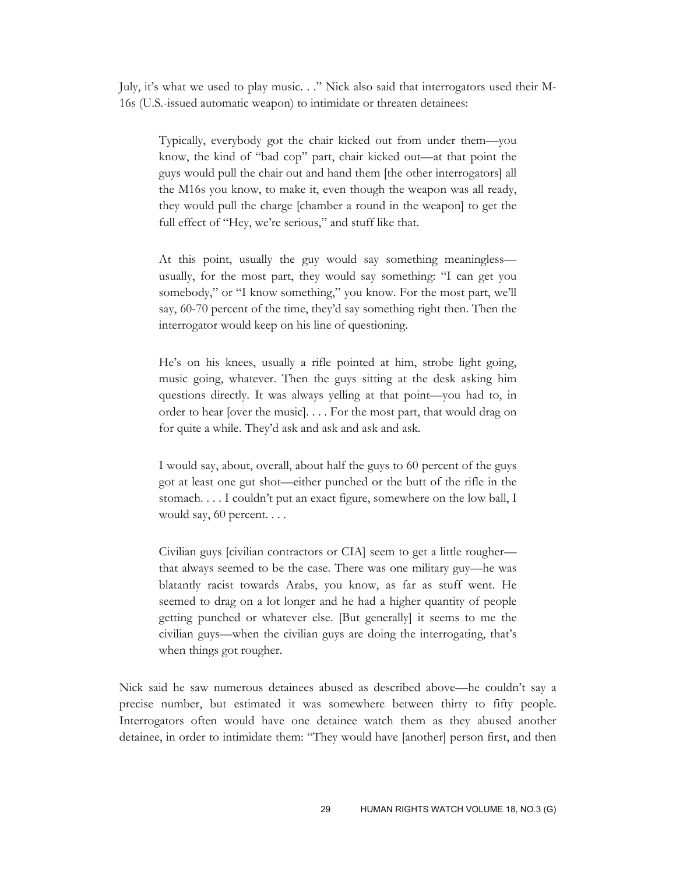July, it's what we used to play music. . ." Nick also said that interrogators used their M-16s (U.S.-issued automatic weapon) to intimidate or threaten detainees:

Typically, everybody got the chair kicked out from under them—you know, the kind of "bad cop" part, chair kicked out—at that point the guys would pull the chair out and hand them [the other interrogators] all the M16s you know, to make it, even though the weapon was all ready, they would pull the charge [chamber a round in the weapon] to get the full effect of "Hey, we're serious," and stuff like that.

At this point, usually the guy would say something meaningless usually, for the most part, they would say something: "I can get you somebody," or "I know something," you know. For the most part, we'll say, 60-70 percent of the time, they'd say something right then. Then the interrogator would keep on his line of questioning.

He's on his knees, usually a rifle pointed at him, strobe light going, music going, whatever. Then the guys sitting at the desk asking him questions directly. It was always yelling at that point—you had to, in order to hear [over the music]. . . . For the most part, that would drag on for quite a while. They'd ask and ask and ask and ask.

I would say, about, overall, about half the guys to 60 percent of the guys got at least one gut shot—either punched or the butt of the rifle in the stomach. . . . I couldn't put an exact figure, somewhere on the low ball, I would say, 60 percent. . . .

Civilian guys [civilian contractors or CIA] seem to get a little rougher that always seemed to be the case. There was one military guy—he was blatantly racist towards Arabs, you know, as far as stuff went. He seemed to drag on a lot longer and he had a higher quantity of people getting punched or whatever else. [But generally] it seems to me the civilian guys—when the civilian guys are doing the interrogating, that's when things got rougher.

Nick said he saw numerous detainees abused as described above—he couldn't say a precise number, but estimated it was somewhere between thirty to fifty people. Interrogators often would have one detainee watch them as they abused another detainee, in order to intimidate them: "They would have [another] person first, and then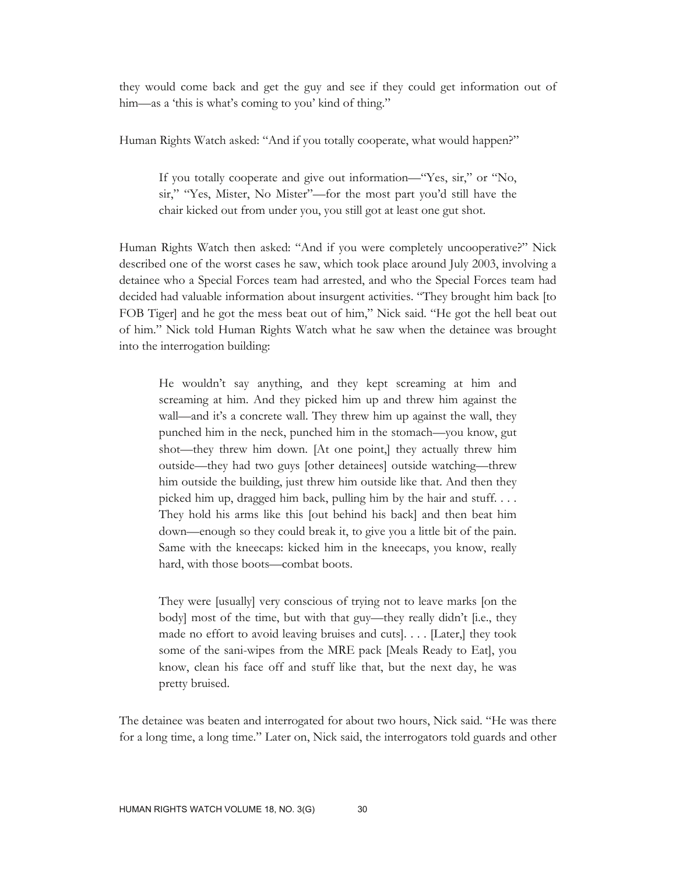they would come back and get the guy and see if they could get information out of him—as a 'this is what's coming to you' kind of thing."

Human Rights Watch asked: "And if you totally cooperate, what would happen?"

If you totally cooperate and give out information—"Yes, sir," or "No, sir," "Yes, Mister, No Mister"—for the most part you'd still have the chair kicked out from under you, you still got at least one gut shot.

Human Rights Watch then asked: "And if you were completely uncooperative?" Nick described one of the worst cases he saw, which took place around July 2003, involving a detainee who a Special Forces team had arrested, and who the Special Forces team had decided had valuable information about insurgent activities. "They brought him back [to FOB Tiger] and he got the mess beat out of him," Nick said. "He got the hell beat out of him." Nick told Human Rights Watch what he saw when the detainee was brought into the interrogation building:

He wouldn't say anything, and they kept screaming at him and screaming at him. And they picked him up and threw him against the wall—and it's a concrete wall. They threw him up against the wall, they punched him in the neck, punched him in the stomach—you know, gut shot—they threw him down. [At one point,] they actually threw him outside—they had two guys [other detainees] outside watching—threw him outside the building, just threw him outside like that. And then they picked him up, dragged him back, pulling him by the hair and stuff. . . . They hold his arms like this [out behind his back] and then beat him down—enough so they could break it, to give you a little bit of the pain. Same with the kneecaps: kicked him in the kneecaps, you know, really hard, with those boots—combat boots.

They were [usually] very conscious of trying not to leave marks [on the body] most of the time, but with that guy—they really didn't [i.e., they made no effort to avoid leaving bruises and cuts]. . . . [Later,] they took some of the sani-wipes from the MRE pack [Meals Ready to Eat], you know, clean his face off and stuff like that, but the next day, he was pretty bruised.

The detainee was beaten and interrogated for about two hours, Nick said. "He was there for a long time, a long time." Later on, Nick said, the interrogators told guards and other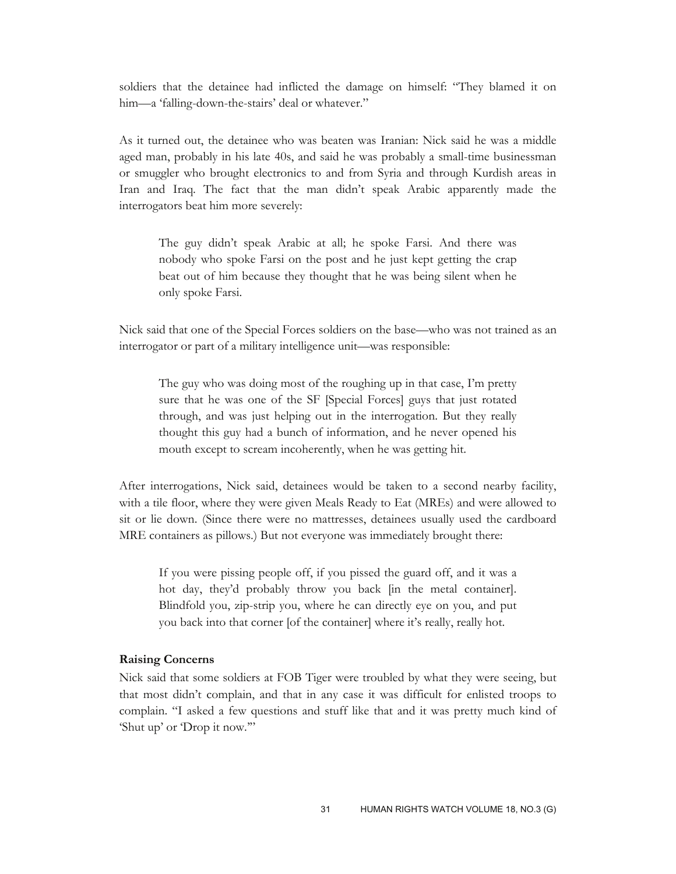soldiers that the detainee had inflicted the damage on himself: "They blamed it on him—a 'falling-down-the-stairs' deal or whatever."

As it turned out, the detainee who was beaten was Iranian: Nick said he was a middle aged man, probably in his late 40s, and said he was probably a small-time businessman or smuggler who brought electronics to and from Syria and through Kurdish areas in Iran and Iraq. The fact that the man didn't speak Arabic apparently made the interrogators beat him more severely:

The guy didn't speak Arabic at all; he spoke Farsi. And there was nobody who spoke Farsi on the post and he just kept getting the crap beat out of him because they thought that he was being silent when he only spoke Farsi.

Nick said that one of the Special Forces soldiers on the base—who was not trained as an interrogator or part of a military intelligence unit—was responsible:

The guy who was doing most of the roughing up in that case, I'm pretty sure that he was one of the SF [Special Forces] guys that just rotated through, and was just helping out in the interrogation. But they really thought this guy had a bunch of information, and he never opened his mouth except to scream incoherently, when he was getting hit.

After interrogations, Nick said, detainees would be taken to a second nearby facility, with a tile floor, where they were given Meals Ready to Eat (MREs) and were allowed to sit or lie down. (Since there were no mattresses, detainees usually used the cardboard MRE containers as pillows.) But not everyone was immediately brought there:

If you were pissing people off, if you pissed the guard off, and it was a hot day, they'd probably throw you back [in the metal container]. Blindfold you, zip-strip you, where he can directly eye on you, and put you back into that corner [of the container] where it's really, really hot.

## **Raising Concerns**

Nick said that some soldiers at FOB Tiger were troubled by what they were seeing, but that most didn't complain, and that in any case it was difficult for enlisted troops to complain. "I asked a few questions and stuff like that and it was pretty much kind of 'Shut up' or 'Drop it now.'"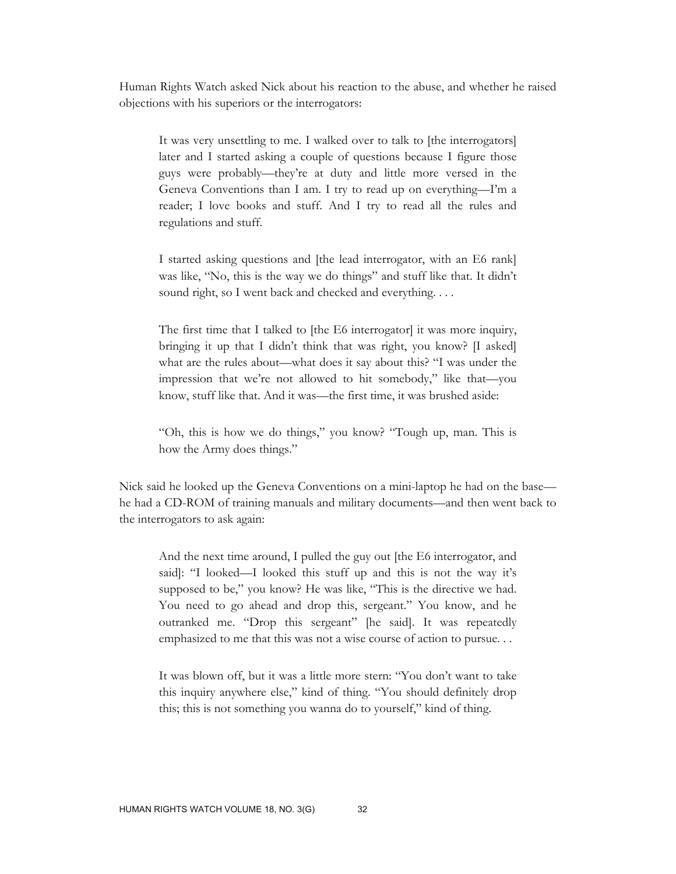Human Rights Watch asked Nick about his reaction to the abuse, and whether he raised objections with his superiors or the interrogators:

It was very unsettling to me. I walked over to talk to [the interrogators] later and I started asking a couple of questions because I figure those guys were probably—they're at duty and little more versed in the Geneva Conventions than I am. I try to read up on everything—I'm a reader; I love books and stuff. And I try to read all the rules and regulations and stuff.

I started asking questions and [the lead interrogator, with an E6 rank] was like, "No, this is the way we do things" and stuff like that. It didn't sound right, so I went back and checked and everything....

The first time that I talked to [the E6 interrogator] it was more inquiry, bringing it up that I didn't think that was right, you know? [I asked] what are the rules about—what does it say about this? "I was under the impression that we're not allowed to hit somebody," like that—you know, stuff like that. And it was—the first time, it was brushed aside:

"Oh, this is how we do things," you know? "Tough up, man. This is how the Army does things."

Nick said he looked up the Geneva Conventions on a mini-laptop he had on the base he had a CD-ROM of training manuals and military documents—and then went back to the interrogators to ask again:

And the next time around, I pulled the guy out [the E6 interrogator, and said]: "I looked—I looked this stuff up and this is not the way it's supposed to be," you know? He was like, "This is the directive we had. You need to go ahead and drop this, sergeant." You know, and he outranked me. "Drop this sergeant" [he said]. It was repeatedly emphasized to me that this was not a wise course of action to pursue. . .

It was blown off, but it was a little more stern: "You don't want to take this inquiry anywhere else," kind of thing. "You should definitely drop this; this is not something you wanna do to yourself," kind of thing.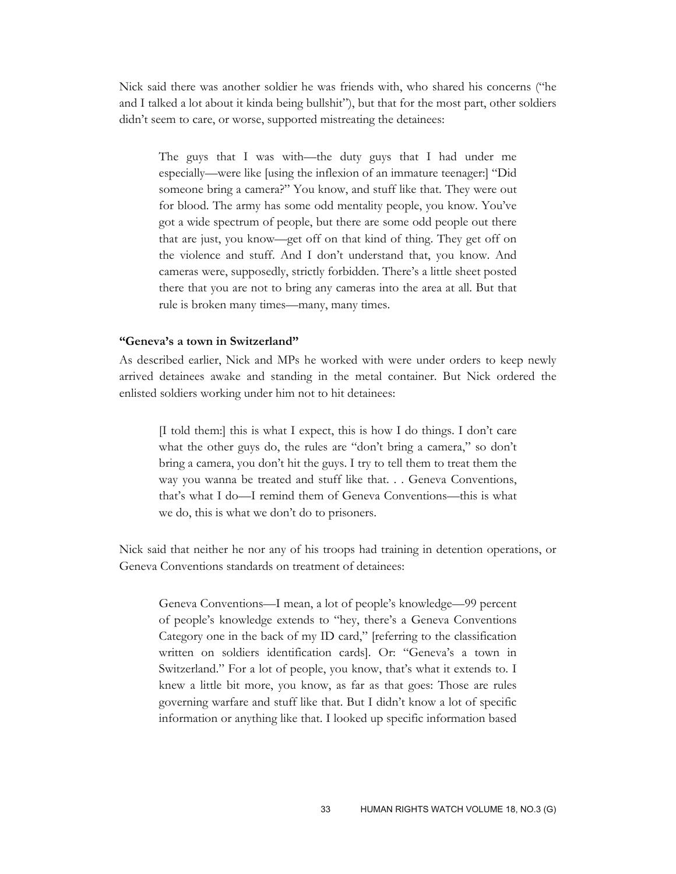Nick said there was another soldier he was friends with, who shared his concerns ("he and I talked a lot about it kinda being bullshit"), but that for the most part, other soldiers didn't seem to care, or worse, supported mistreating the detainees:

The guys that I was with—the duty guys that I had under me especially—were like [using the inflexion of an immature teenager:] "Did someone bring a camera?" You know, and stuff like that. They were out for blood. The army has some odd mentality people, you know. You've got a wide spectrum of people, but there are some odd people out there that are just, you know—get off on that kind of thing. They get off on the violence and stuff. And I don't understand that, you know. And cameras were, supposedly, strictly forbidden. There's a little sheet posted there that you are not to bring any cameras into the area at all. But that rule is broken many times—many, many times.

## **"Geneva's a town in Switzerland"**

As described earlier, Nick and MPs he worked with were under orders to keep newly arrived detainees awake and standing in the metal container. But Nick ordered the enlisted soldiers working under him not to hit detainees:

[I told them:] this is what I expect, this is how I do things. I don't care what the other guys do, the rules are "don't bring a camera," so don't bring a camera, you don't hit the guys. I try to tell them to treat them the way you wanna be treated and stuff like that. . . Geneva Conventions, that's what I do—I remind them of Geneva Conventions—this is what we do, this is what we don't do to prisoners.

Nick said that neither he nor any of his troops had training in detention operations, or Geneva Conventions standards on treatment of detainees:

Geneva Conventions—I mean, a lot of people's knowledge—99 percent of people's knowledge extends to "hey, there's a Geneva Conventions Category one in the back of my ID card," [referring to the classification written on soldiers identification cards]. Or: "Geneva's a town in Switzerland." For a lot of people, you know, that's what it extends to. I knew a little bit more, you know, as far as that goes: Those are rules governing warfare and stuff like that. But I didn't know a lot of specific information or anything like that. I looked up specific information based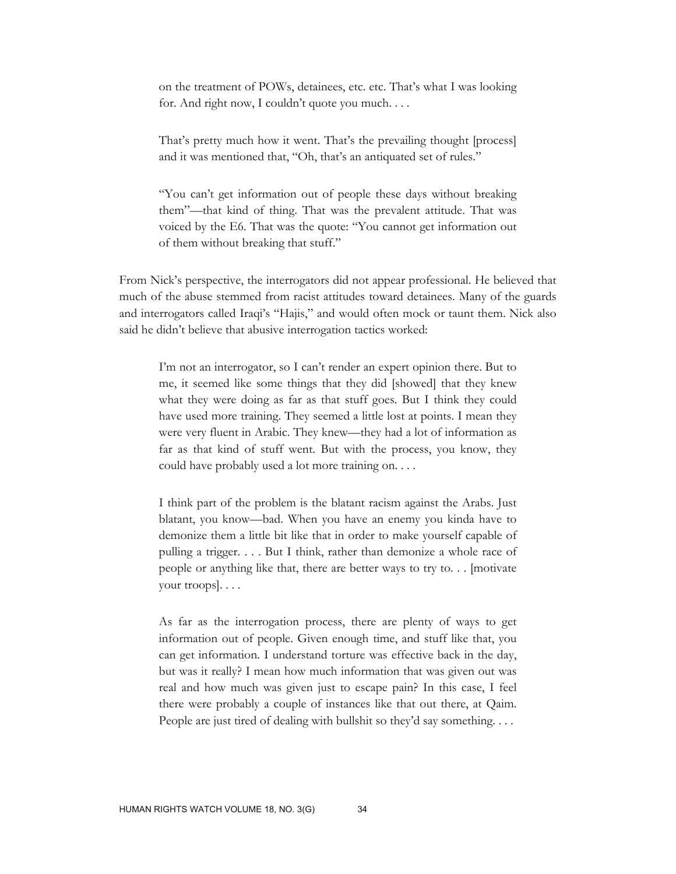on the treatment of POWs, detainees, etc. etc. That's what I was looking for. And right now, I couldn't quote you much. . . .

That's pretty much how it went. That's the prevailing thought [process] and it was mentioned that, "Oh, that's an antiquated set of rules."

"You can't get information out of people these days without breaking them"—that kind of thing. That was the prevalent attitude. That was voiced by the E6. That was the quote: "You cannot get information out of them without breaking that stuff."

From Nick's perspective, the interrogators did not appear professional. He believed that much of the abuse stemmed from racist attitudes toward detainees. Many of the guards and interrogators called Iraqi's "Hajis," and would often mock or taunt them. Nick also said he didn't believe that abusive interrogation tactics worked:

I'm not an interrogator, so I can't render an expert opinion there. But to me, it seemed like some things that they did [showed] that they knew what they were doing as far as that stuff goes. But I think they could have used more training. They seemed a little lost at points. I mean they were very fluent in Arabic. They knew—they had a lot of information as far as that kind of stuff went. But with the process, you know, they could have probably used a lot more training on. . . .

I think part of the problem is the blatant racism against the Arabs. Just blatant, you know—bad. When you have an enemy you kinda have to demonize them a little bit like that in order to make yourself capable of pulling a trigger. . . . But I think, rather than demonize a whole race of people or anything like that, there are better ways to try to. . . [motivate your troops]. . . .

As far as the interrogation process, there are plenty of ways to get information out of people. Given enough time, and stuff like that, you can get information. I understand torture was effective back in the day, but was it really? I mean how much information that was given out was real and how much was given just to escape pain? In this case, I feel there were probably a couple of instances like that out there, at Qaim. People are just tired of dealing with bullshit so they'd say something....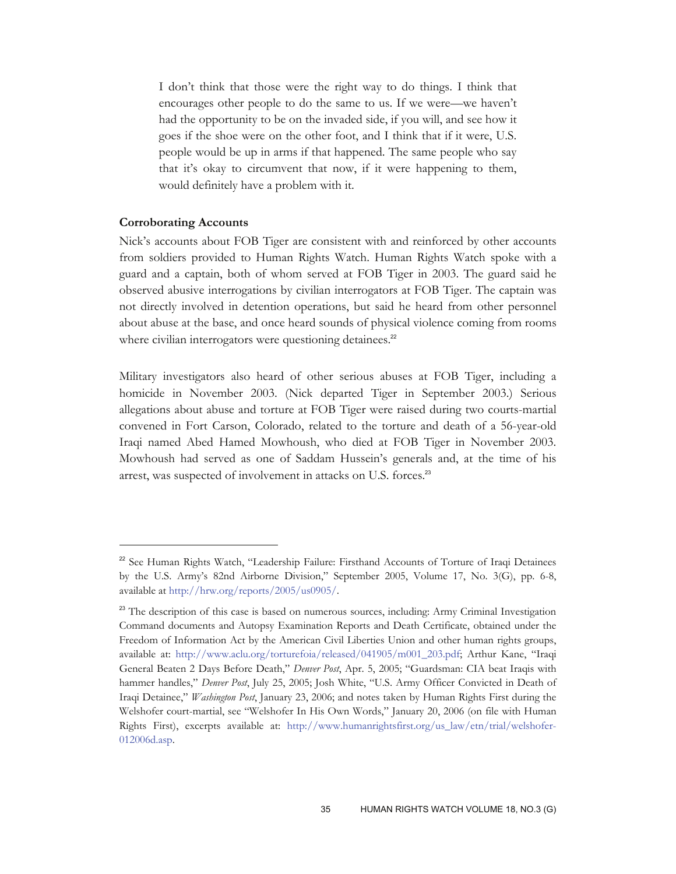I don't think that those were the right way to do things. I think that encourages other people to do the same to us. If we were—we haven't had the opportunity to be on the invaded side, if you will, and see how it goes if the shoe were on the other foot, and I think that if it were, U.S. people would be up in arms if that happened. The same people who say that it's okay to circumvent that now, if it were happening to them, would definitely have a problem with it.

# **Corroborating Accounts**

 $\overline{a}$ 

Nick's accounts about FOB Tiger are consistent with and reinforced by other accounts from soldiers provided to Human Rights Watch. Human Rights Watch spoke with a guard and a captain, both of whom served at FOB Tiger in 2003. The guard said he observed abusive interrogations by civilian interrogators at FOB Tiger. The captain was not directly involved in detention operations, but said he heard from other personnel about abuse at the base, and once heard sounds of physical violence coming from rooms where civilian interrogators were questioning detainees.<sup>22</sup>

Military investigators also heard of other serious abuses at FOB Tiger, including a homicide in November 2003. (Nick departed Tiger in September 2003.) Serious allegations about abuse and torture at FOB Tiger were raised during two courts-martial convened in Fort Carson, Colorado, related to the torture and death of a 56-year-old Iraqi named Abed Hamed Mowhoush, who died at FOB Tiger in November 2003. Mowhoush had served as one of Saddam Hussein's generals and, at the time of his arrest, was suspected of involvement in attacks on U.S. forces.<sup>23</sup>

<sup>22</sup> See Human Rights Watch, "Leadership Failure: Firsthand Accounts of Torture of Iraqi Detainees by the U.S. Army's 82nd Airborne Division," September 2005, Volume 17, No. 3(G), pp. 6-8, available at http://hrw.org/reports/2005/us0905/.

<sup>&</sup>lt;sup>23</sup> The description of this case is based on numerous sources, including: Army Criminal Investigation Command documents and Autopsy Examination Reports and Death Certificate, obtained under the Freedom of Information Act by the American Civil Liberties Union and other human rights groups, available at: http://www.aclu.org/torturefoia/released/041905/m001\_203.pdf; Arthur Kane, "Iraqi General Beaten 2 Days Before Death," *Denver Post*, Apr. 5, 2005; "Guardsman: CIA beat Iraqis with hammer handles," *Denver Post*, July 25, 2005; Josh White, "U.S. Army Officer Convicted in Death of Iraqi Detainee," *Washington Post*, January 23, 2006; and notes taken by Human Rights First during the Welshofer court-martial, see "Welshofer In His Own Words," January 20, 2006 (on file with Human Rights First), excerpts available at: http://www.humanrightsfirst.org/us\_law/etn/trial/welshofer-012006d.asp.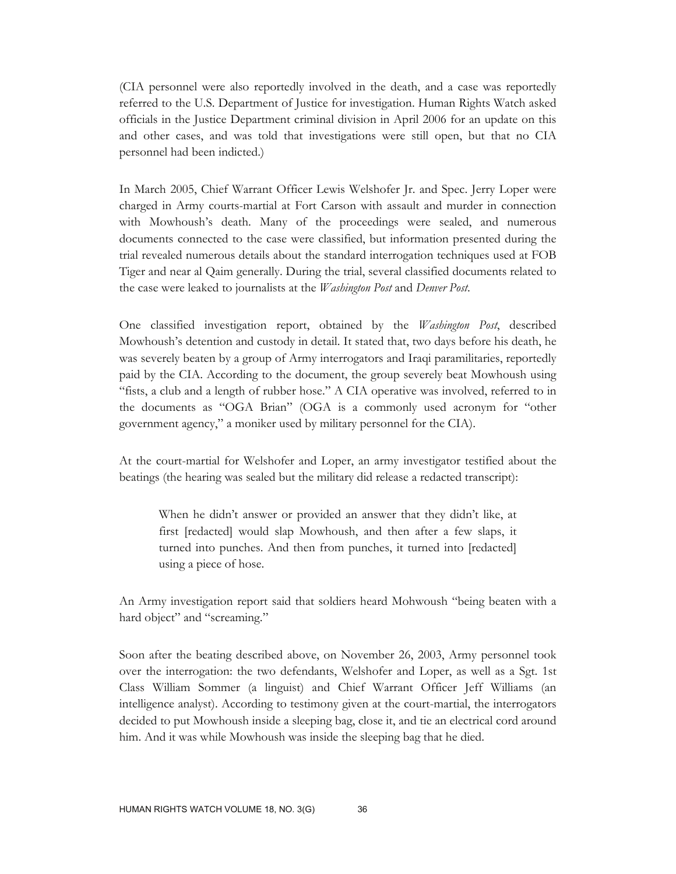(CIA personnel were also reportedly involved in the death, and a case was reportedly referred to the U.S. Department of Justice for investigation. Human Rights Watch asked officials in the Justice Department criminal division in April 2006 for an update on this and other cases, and was told that investigations were still open, but that no CIA personnel had been indicted.)

In March 2005, Chief Warrant Officer Lewis Welshofer Jr. and Spec. Jerry Loper were charged in Army courts-martial at Fort Carson with assault and murder in connection with Mowhoush's death. Many of the proceedings were sealed, and numerous documents connected to the case were classified, but information presented during the trial revealed numerous details about the standard interrogation techniques used at FOB Tiger and near al Qaim generally. During the trial, several classified documents related to the case were leaked to journalists at the *Washington Post* and *Denver Post*.

One classified investigation report, obtained by the *Washington Post*, described Mowhoush's detention and custody in detail. It stated that, two days before his death, he was severely beaten by a group of Army interrogators and Iraqi paramilitaries, reportedly paid by the CIA. According to the document, the group severely beat Mowhoush using "fists, a club and a length of rubber hose." A CIA operative was involved, referred to in the documents as "OGA Brian" (OGA is a commonly used acronym for "other government agency," a moniker used by military personnel for the CIA).

At the court-martial for Welshofer and Loper, an army investigator testified about the beatings (the hearing was sealed but the military did release a redacted transcript):

When he didn't answer or provided an answer that they didn't like, at first [redacted] would slap Mowhoush, and then after a few slaps, it turned into punches. And then from punches, it turned into [redacted] using a piece of hose.

An Army investigation report said that soldiers heard Mohwoush "being beaten with a hard object" and "screaming."

Soon after the beating described above, on November 26, 2003, Army personnel took over the interrogation: the two defendants, Welshofer and Loper, as well as a Sgt. 1st Class William Sommer (a linguist) and Chief Warrant Officer Jeff Williams (an intelligence analyst). According to testimony given at the court-martial, the interrogators decided to put Mowhoush inside a sleeping bag, close it, and tie an electrical cord around him. And it was while Mowhoush was inside the sleeping bag that he died.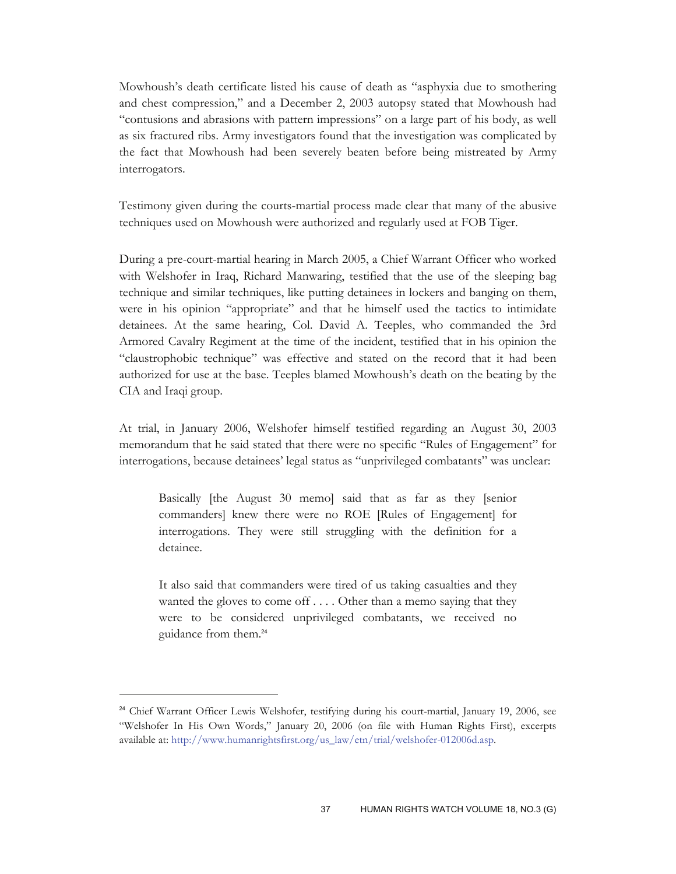Mowhoush's death certificate listed his cause of death as "asphyxia due to smothering and chest compression," and a December 2, 2003 autopsy stated that Mowhoush had "contusions and abrasions with pattern impressions" on a large part of his body, as well as six fractured ribs. Army investigators found that the investigation was complicated by the fact that Mowhoush had been severely beaten before being mistreated by Army interrogators.

Testimony given during the courts-martial process made clear that many of the abusive techniques used on Mowhoush were authorized and regularly used at FOB Tiger.

During a pre-court-martial hearing in March 2005, a Chief Warrant Officer who worked with Welshofer in Iraq, Richard Manwaring, testified that the use of the sleeping bag technique and similar techniques, like putting detainees in lockers and banging on them, were in his opinion "appropriate" and that he himself used the tactics to intimidate detainees. At the same hearing, Col. David A. Teeples, who commanded the 3rd Armored Cavalry Regiment at the time of the incident, testified that in his opinion the "claustrophobic technique" was effective and stated on the record that it had been authorized for use at the base. Teeples blamed Mowhoush's death on the beating by the CIA and Iraqi group.

At trial, in January 2006, Welshofer himself testified regarding an August 30, 2003 memorandum that he said stated that there were no specific "Rules of Engagement" for interrogations, because detainees' legal status as "unprivileged combatants" was unclear:

Basically [the August 30 memo] said that as far as they [senior commanders] knew there were no ROE [Rules of Engagement] for interrogations. They were still struggling with the definition for a detainee.

It also said that commanders were tired of us taking casualties and they wanted the gloves to come off . . . . Other than a memo saying that they were to be considered unprivileged combatants, we received no guidance from them.<sup>24</sup>

<sup>&</sup>lt;sup>24</sup> Chief Warrant Officer Lewis Welshofer, testifying during his court-martial, January 19, 2006, see "Welshofer In His Own Words," January 20, 2006 (on file with Human Rights First), excerpts available at: http://www.humanrightsfirst.org/us\_law/etn/trial/welshofer-012006d.asp.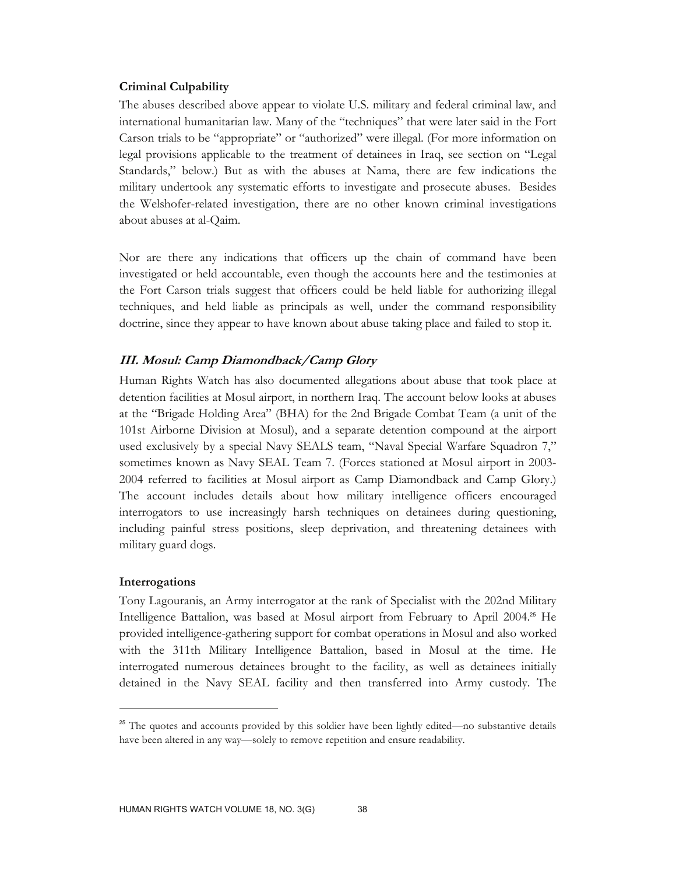## **Criminal Culpability**

The abuses described above appear to violate U.S. military and federal criminal law, and international humanitarian law. Many of the "techniques" that were later said in the Fort Carson trials to be "appropriate" or "authorized" were illegal. (For more information on legal provisions applicable to the treatment of detainees in Iraq, see section on "Legal Standards," below.) But as with the abuses at Nama, there are few indications the military undertook any systematic efforts to investigate and prosecute abuses. Besides the Welshofer-related investigation, there are no other known criminal investigations about abuses at al-Qaim.

Nor are there any indications that officers up the chain of command have been investigated or held accountable, even though the accounts here and the testimonies at the Fort Carson trials suggest that officers could be held liable for authorizing illegal techniques, and held liable as principals as well, under the command responsibility doctrine, since they appear to have known about abuse taking place and failed to stop it.

# **III. Mosul: Camp Diamondback/Camp Glory**

Human Rights Watch has also documented allegations about abuse that took place at detention facilities at Mosul airport, in northern Iraq. The account below looks at abuses at the "Brigade Holding Area" (BHA) for the 2nd Brigade Combat Team (a unit of the 101st Airborne Division at Mosul), and a separate detention compound at the airport used exclusively by a special Navy SEALS team, "Naval Special Warfare Squadron 7," sometimes known as Navy SEAL Team 7. (Forces stationed at Mosul airport in 2003- 2004 referred to facilities at Mosul airport as Camp Diamondback and Camp Glory.) The account includes details about how military intelligence officers encouraged interrogators to use increasingly harsh techniques on detainees during questioning, including painful stress positions, sleep deprivation, and threatening detainees with military guard dogs.

## **Interrogations**

 $\overline{a}$ 

Tony Lagouranis, an Army interrogator at the rank of Specialist with the 202nd Military Intelligence Battalion, was based at Mosul airport from February to April 2004.<sup>25</sup> He provided intelligence-gathering support for combat operations in Mosul and also worked with the 311th Military Intelligence Battalion, based in Mosul at the time. He interrogated numerous detainees brought to the facility, as well as detainees initially detained in the Navy SEAL facility and then transferred into Army custody. The

<sup>&</sup>lt;sup>25</sup> The quotes and accounts provided by this soldier have been lightly edited—no substantive details have been altered in any way—solely to remove repetition and ensure readability.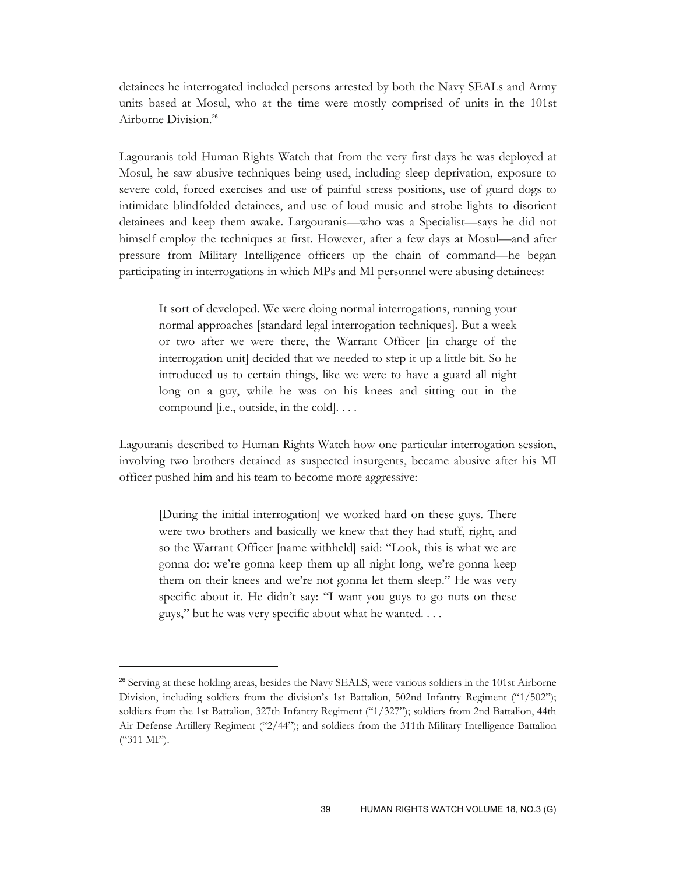detainees he interrogated included persons arrested by both the Navy SEALs and Army units based at Mosul, who at the time were mostly comprised of units in the 101st Airborne Division.<sup>26</sup>

Lagouranis told Human Rights Watch that from the very first days he was deployed at Mosul, he saw abusive techniques being used, including sleep deprivation, exposure to severe cold, forced exercises and use of painful stress positions, use of guard dogs to intimidate blindfolded detainees, and use of loud music and strobe lights to disorient detainees and keep them awake. Largouranis—who was a Specialist—says he did not himself employ the techniques at first. However, after a few days at Mosul—and after pressure from Military Intelligence officers up the chain of command—he began participating in interrogations in which MPs and MI personnel were abusing detainees:

It sort of developed. We were doing normal interrogations, running your normal approaches [standard legal interrogation techniques]. But a week or two after we were there, the Warrant Officer [in charge of the interrogation unit] decided that we needed to step it up a little bit. So he introduced us to certain things, like we were to have a guard all night long on a guy, while he was on his knees and sitting out in the compound [i.e., outside, in the cold]. . . .

Lagouranis described to Human Rights Watch how one particular interrogation session, involving two brothers detained as suspected insurgents, became abusive after his MI officer pushed him and his team to become more aggressive:

[During the initial interrogation] we worked hard on these guys. There were two brothers and basically we knew that they had stuff, right, and so the Warrant Officer [name withheld] said: "Look, this is what we are gonna do: we're gonna keep them up all night long, we're gonna keep them on their knees and we're not gonna let them sleep." He was very specific about it. He didn't say: "I want you guys to go nuts on these guys," but he was very specific about what he wanted. . . .

-

<sup>&</sup>lt;sup>26</sup> Serving at these holding areas, besides the Navy SEALS, were various soldiers in the 101st Airborne Division, including soldiers from the division's 1st Battalion, 502nd Infantry Regiment ("1/502"); soldiers from the 1st Battalion, 327th Infantry Regiment ("1/327"); soldiers from 2nd Battalion, 44th Air Defense Artillery Regiment ("2/44"); and soldiers from the 311th Military Intelligence Battalion ("311 MI").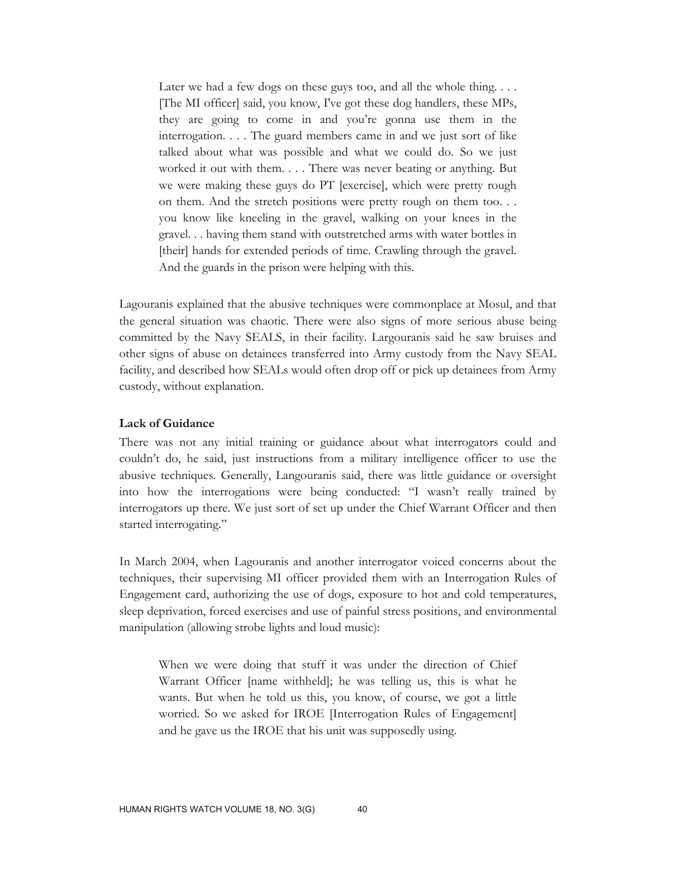Later we had a few dogs on these guys too, and all the whole thing.... [The MI officer] said, you know, I've got these dog handlers, these MPs, they are going to come in and you're gonna use them in the interrogation. . . . The guard members came in and we just sort of like talked about what was possible and what we could do. So we just worked it out with them. . . . There was never beating or anything. But we were making these guys do PT [exercise], which were pretty rough on them. And the stretch positions were pretty rough on them too. . . you know like kneeling in the gravel, walking on your knees in the gravel. . . having them stand with outstretched arms with water bottles in [their] hands for extended periods of time. Crawling through the gravel. And the guards in the prison were helping with this.

Lagouranis explained that the abusive techniques were commonplace at Mosul, and that the general situation was chaotic. There were also signs of more serious abuse being committed by the Navy SEALS, in their facility. Largouranis said he saw bruises and other signs of abuse on detainees transferred into Army custody from the Navy SEAL facility, and described how SEALs would often drop off or pick up detainees from Army custody, without explanation.

## **Lack of Guidance**

There was not any initial training or guidance about what interrogators could and couldn't do, he said, just instructions from a military intelligence officer to use the abusive techniques. Generally, Langouranis said, there was little guidance or oversight into how the interrogations were being conducted: "I wasn't really trained by interrogators up there. We just sort of set up under the Chief Warrant Officer and then started interrogating."

In March 2004, when Lagouranis and another interrogator voiced concerns about the techniques, their supervising MI officer provided them with an Interrogation Rules of Engagement card, authorizing the use of dogs, exposure to hot and cold temperatures, sleep deprivation, forced exercises and use of painful stress positions, and environmental manipulation (allowing strobe lights and loud music):

When we were doing that stuff it was under the direction of Chief Warrant Officer [name withheld]; he was telling us, this is what he wants. But when he told us this, you know, of course, we got a little worried. So we asked for IROE [Interrogation Rules of Engagement] and he gave us the IROE that his unit was supposedly using.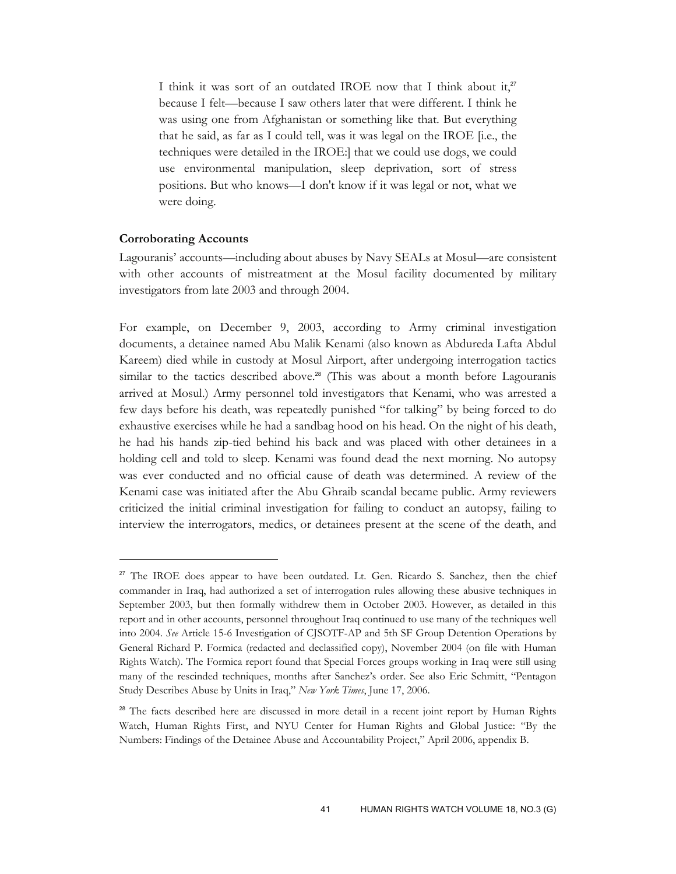I think it was sort of an outdated IROE now that I think about it, $2^7$ because I felt—because I saw others later that were different. I think he was using one from Afghanistan or something like that. But everything that he said, as far as I could tell, was it was legal on the IROE [i.e., the techniques were detailed in the IROE:] that we could use dogs, we could use environmental manipulation, sleep deprivation, sort of stress positions. But who knows—I don't know if it was legal or not, what we were doing.

## **Corroborating Accounts**

 $\overline{a}$ 

Lagouranis' accounts—including about abuses by Navy SEALs at Mosul—are consistent with other accounts of mistreatment at the Mosul facility documented by military investigators from late 2003 and through 2004.

For example, on December 9, 2003, according to Army criminal investigation documents, a detainee named Abu Malik Kenami (also known as Abdureda Lafta Abdul Kareem) died while in custody at Mosul Airport, after undergoing interrogation tactics similar to the tactics described above.<sup>28</sup> (This was about a month before Lagouranis arrived at Mosul.) Army personnel told investigators that Kenami, who was arrested a few days before his death, was repeatedly punished "for talking" by being forced to do exhaustive exercises while he had a sandbag hood on his head. On the night of his death, he had his hands zip-tied behind his back and was placed with other detainees in a holding cell and told to sleep. Kenami was found dead the next morning. No autopsy was ever conducted and no official cause of death was determined. A review of the Kenami case was initiated after the Abu Ghraib scandal became public. Army reviewers criticized the initial criminal investigation for failing to conduct an autopsy, failing to interview the interrogators, medics, or detainees present at the scene of the death, and

<sup>&</sup>lt;sup>27</sup> The IROE does appear to have been outdated. Lt. Gen. Ricardo S. Sanchez, then the chief commander in Iraq, had authorized a set of interrogation rules allowing these abusive techniques in September 2003, but then formally withdrew them in October 2003. However, as detailed in this report and in other accounts, personnel throughout Iraq continued to use many of the techniques well into 2004. *See* Article 15-6 Investigation of CJSOTF-AP and 5th SF Group Detention Operations by General Richard P. Formica (redacted and declassified copy), November 2004 (on file with Human Rights Watch). The Formica report found that Special Forces groups working in Iraq were still using many of the rescinded techniques, months after Sanchez's order. See also Eric Schmitt, "Pentagon Study Describes Abuse by Units in Iraq," *New York Times*, June 17, 2006.

<sup>&</sup>lt;sup>28</sup> The facts described here are discussed in more detail in a recent joint report by Human Rights Watch, Human Rights First, and NYU Center for Human Rights and Global Justice: "By the Numbers: Findings of the Detainee Abuse and Accountability Project," April 2006, appendix B.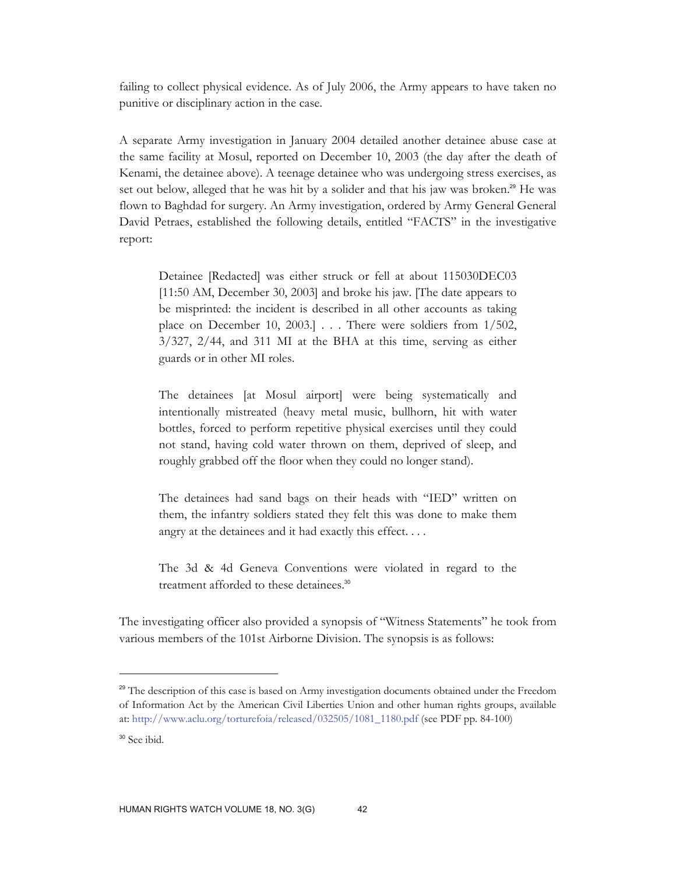failing to collect physical evidence. As of July 2006, the Army appears to have taken no punitive or disciplinary action in the case.

A separate Army investigation in January 2004 detailed another detainee abuse case at the same facility at Mosul, reported on December 10, 2003 (the day after the death of Kenami, the detainee above). A teenage detainee who was undergoing stress exercises, as set out below, alleged that he was hit by a solider and that his jaw was broken.<sup>29</sup> He was flown to Baghdad for surgery. An Army investigation, ordered by Army General General David Petraes, established the following details, entitled "FACTS" in the investigative report:

Detainee [Redacted] was either struck or fell at about 115030DEC03 [11:50 AM, December 30, 2003] and broke his jaw. [The date appears to be misprinted: the incident is described in all other accounts as taking place on December 10, 2003.] . . . There were soldiers from 1/502, 3/327, 2/44, and 311 MI at the BHA at this time, serving as either guards or in other MI roles.

The detainees [at Mosul airport] were being systematically and intentionally mistreated (heavy metal music, bullhorn, hit with water bottles, forced to perform repetitive physical exercises until they could not stand, having cold water thrown on them, deprived of sleep, and roughly grabbed off the floor when they could no longer stand).

The detainees had sand bags on their heads with "IED" written on them, the infantry soldiers stated they felt this was done to make them angry at the detainees and it had exactly this effect. . . .

The 3d & 4d Geneva Conventions were violated in regard to the treatment afforded to these detainees.<sup>30</sup>

The investigating officer also provided a synopsis of "Witness Statements" he took from various members of the 101st Airborne Division. The synopsis is as follows:

<sup>&</sup>lt;sup>29</sup> The description of this case is based on Army investigation documents obtained under the Freedom of Information Act by the American Civil Liberties Union and other human rights groups, available at: http://www.aclu.org/torturefoia/released/032505/1081\_1180.pdf (see PDF pp. 84-100)

<sup>30</sup> See ibid.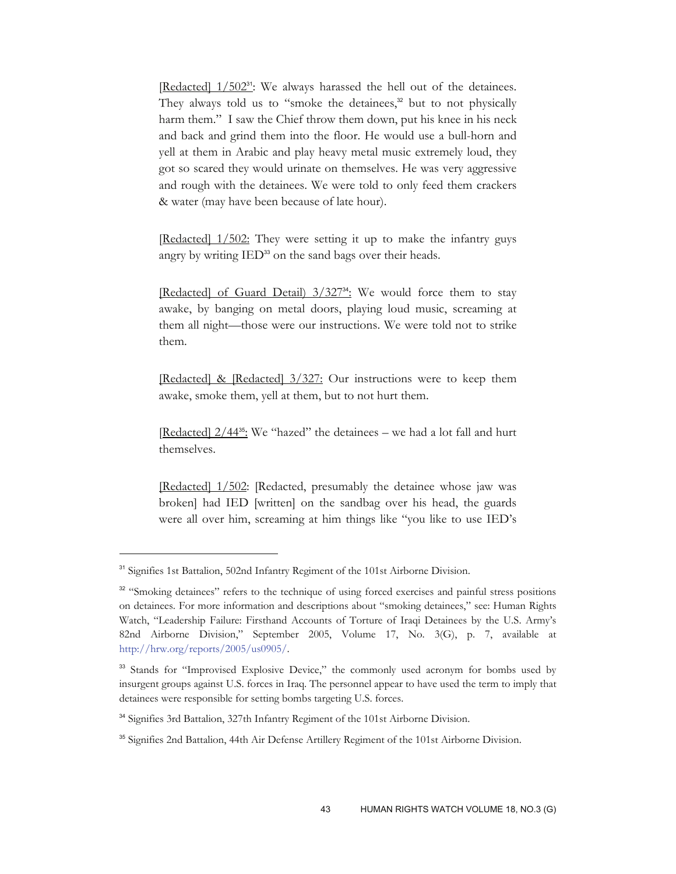[Redacted]  $1/502^{31}$ : We always harassed the hell out of the detainees. They always told us to "smoke the detainees, $32$  but to not physically harm them." I saw the Chief throw them down, put his knee in his neck and back and grind them into the floor. He would use a bull-horn and yell at them in Arabic and play heavy metal music extremely loud, they got so scared they would urinate on themselves. He was very aggressive and rough with the detainees. We were told to only feed them crackers & water (may have been because of late hour).

[Redacted]  $1/502$ : They were setting it up to make the infantry guys angry by writing IED<sup>33</sup> on the sand bags over their heads.

[Redacted] of Guard Detail)  $3/327^{34}$ : We would force them to stay awake, by banging on metal doors, playing loud music, screaming at them all night—those were our instructions. We were told not to strike them.

[Redacted] & [Redacted] 3/327: Our instructions were to keep them awake, smoke them, yell at them, but to not hurt them.

[Redacted] 2/4435: We "hazed" the detainees – we had a lot fall and hurt themselves.

[Redacted] 1/502: [Redacted, presumably the detainee whose jaw was broken] had IED [written] on the sandbag over his head, the guards were all over him, screaming at him things like "you like to use IED's

-

<sup>&</sup>lt;sup>31</sup> Signifies 1st Battalion, 502nd Infantry Regiment of the 101st Airborne Division.

<sup>&</sup>lt;sup>32</sup> "Smoking detainees" refers to the technique of using forced exercises and painful stress positions on detainees. For more information and descriptions about "smoking detainees," see: Human Rights Watch, "Leadership Failure: Firsthand Accounts of Torture of Iraqi Detainees by the U.S. Army's 82nd Airborne Division," September 2005, Volume 17, No. 3(G), p. 7, available at http://hrw.org/reports/2005/us0905/.

<sup>&</sup>lt;sup>33</sup> Stands for "Improvised Explosive Device," the commonly used acronym for bombs used by insurgent groups against U.S. forces in Iraq. The personnel appear to have used the term to imply that detainees were responsible for setting bombs targeting U.S. forces.

<sup>&</sup>lt;sup>34</sup> Signifies 3rd Battalion, 327th Infantry Regiment of the 101st Airborne Division.

<sup>&</sup>lt;sup>35</sup> Signifies 2nd Battalion, 44th Air Defense Artillery Regiment of the 101st Airborne Division.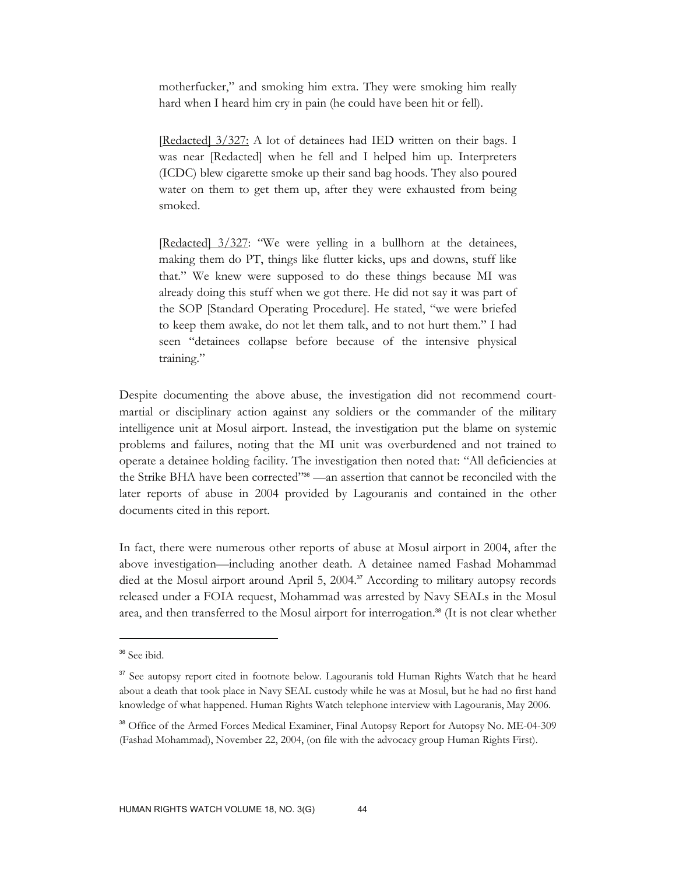motherfucker," and smoking him extra. They were smoking him really hard when I heard him cry in pain (he could have been hit or fell).

[Redacted]  $3/327$ : A lot of detainees had IED written on their bags. I was near [Redacted] when he fell and I helped him up. Interpreters (ICDC) blew cigarette smoke up their sand bag hoods. They also poured water on them to get them up, after they were exhausted from being smoked.

[Redacted] 3/327: "We were yelling in a bullhorn at the detainees, making them do PT, things like flutter kicks, ups and downs, stuff like that." We knew were supposed to do these things because MI was already doing this stuff when we got there. He did not say it was part of the SOP [Standard Operating Procedure]. He stated, "we were briefed to keep them awake, do not let them talk, and to not hurt them." I had seen "detainees collapse before because of the intensive physical training."

Despite documenting the above abuse, the investigation did not recommend courtmartial or disciplinary action against any soldiers or the commander of the military intelligence unit at Mosul airport. Instead, the investigation put the blame on systemic problems and failures, noting that the MI unit was overburdened and not trained to operate a detainee holding facility. The investigation then noted that: "All deficiencies at the Strike BHA have been corrected"36 —an assertion that cannot be reconciled with the later reports of abuse in 2004 provided by Lagouranis and contained in the other documents cited in this report.

In fact, there were numerous other reports of abuse at Mosul airport in 2004, after the above investigation—including another death. A detainee named Fashad Mohammad died at the Mosul airport around April 5,  $2004$ .<sup>37</sup> According to military autopsy records released under a FOIA request, Mohammad was arrested by Navy SEALs in the Mosul area, and then transferred to the Mosul airport for interrogation.<sup>38</sup> (It is not clear whether

<sup>&</sup>lt;sup>36</sup> See ibid.

<sup>&</sup>lt;sup>37</sup> See autopsy report cited in footnote below. Lagouranis told Human Rights Watch that he heard about a death that took place in Navy SEAL custody while he was at Mosul, but he had no first hand knowledge of what happened. Human Rights Watch telephone interview with Lagouranis, May 2006.

<sup>&</sup>lt;sup>38</sup> Office of the Armed Forces Medical Examiner, Final Autopsy Report for Autopsy No. ME-04-309 (Fashad Mohammad), November 22, 2004, (on file with the advocacy group Human Rights First).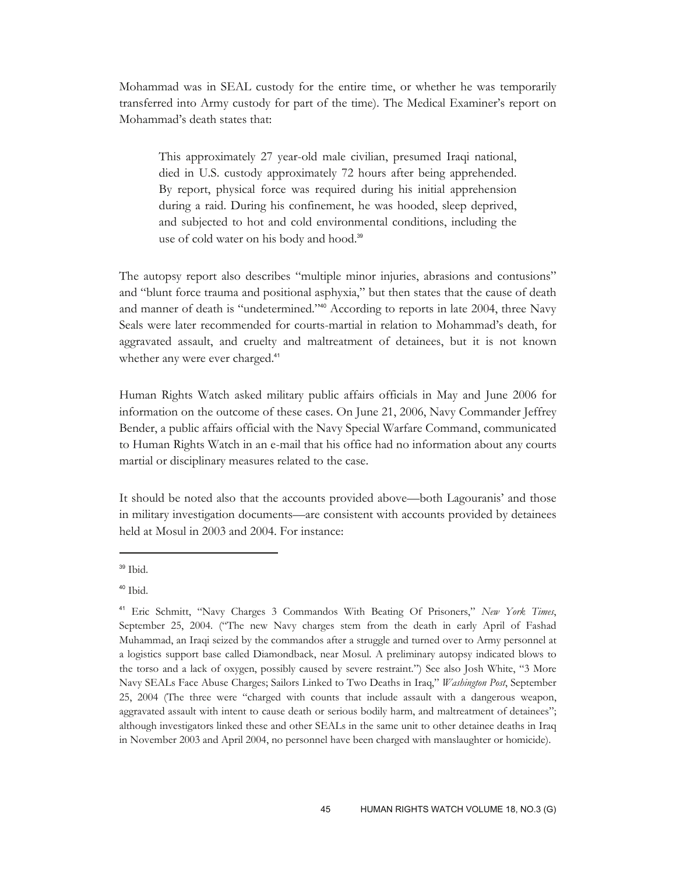Mohammad was in SEAL custody for the entire time, or whether he was temporarily transferred into Army custody for part of the time). The Medical Examiner's report on Mohammad's death states that:

This approximately 27 year-old male civilian, presumed Iraqi national, died in U.S. custody approximately 72 hours after being apprehended. By report, physical force was required during his initial apprehension during a raid. During his confinement, he was hooded, sleep deprived, and subjected to hot and cold environmental conditions, including the use of cold water on his body and hood.<sup>39</sup>

The autopsy report also describes "multiple minor injuries, abrasions and contusions" and "blunt force trauma and positional asphyxia," but then states that the cause of death and manner of death is "undetermined."40 According to reports in late 2004, three Navy Seals were later recommended for courts-martial in relation to Mohammad's death, for aggravated assault, and cruelty and maltreatment of detainees, but it is not known whether any were ever charged.<sup>41</sup>

Human Rights Watch asked military public affairs officials in May and June 2006 for information on the outcome of these cases. On June 21, 2006, Navy Commander Jeffrey Bender, a public affairs official with the Navy Special Warfare Command, communicated to Human Rights Watch in an e-mail that his office had no information about any courts martial or disciplinary measures related to the case.

It should be noted also that the accounts provided above—both Lagouranis' and those in military investigation documents—are consistent with accounts provided by detainees held at Mosul in 2003 and 2004. For instance:

 $39$  Ibid.

<sup>40</sup> Ibid.

<sup>41</sup> Eric Schmitt, "Navy Charges 3 Commandos With Beating Of Prisoners," *New York Times*, September 25, 2004. ("The new Navy charges stem from the death in early April of Fashad Muhammad, an Iraqi seized by the commandos after a struggle and turned over to Army personnel at a logistics support base called Diamondback, near Mosul. A preliminary autopsy indicated blows to the torso and a lack of oxygen, possibly caused by severe restraint.") See also Josh White, "3 More Navy SEALs Face Abuse Charges; Sailors Linked to Two Deaths in Iraq," *Washington Post*, September 25, 2004 (The three were "charged with counts that include assault with a dangerous weapon, aggravated assault with intent to cause death or serious bodily harm, and maltreatment of detainees"; although investigators linked these and other SEALs in the same unit to other detainee deaths in Iraq in November 2003 and April 2004, no personnel have been charged with manslaughter or homicide).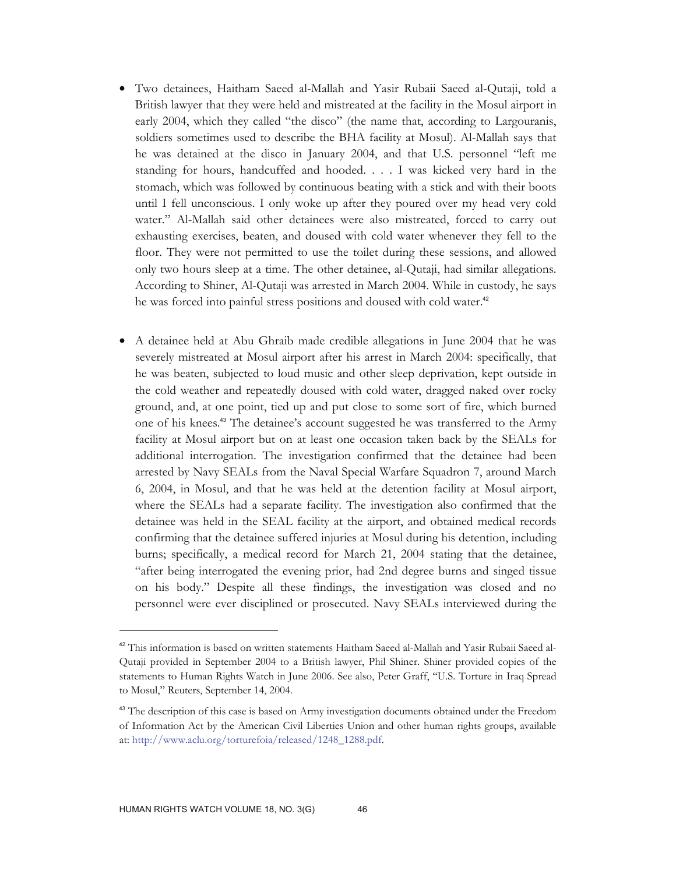- Two detainees, Haitham Saeed al-Mallah and Yasir Rubaii Saeed al-Qutaji, told a British lawyer that they were held and mistreated at the facility in the Mosul airport in early 2004, which they called "the disco" (the name that, according to Largouranis, soldiers sometimes used to describe the BHA facility at Mosul). Al-Mallah says that he was detained at the disco in January 2004, and that U.S. personnel "left me standing for hours, handcuffed and hooded. . . . I was kicked very hard in the stomach, which was followed by continuous beating with a stick and with their boots until I fell unconscious. I only woke up after they poured over my head very cold water." Al-Mallah said other detainees were also mistreated, forced to carry out exhausting exercises, beaten, and doused with cold water whenever they fell to the floor. They were not permitted to use the toilet during these sessions, and allowed only two hours sleep at a time. The other detainee, al-Qutaji, had similar allegations. According to Shiner, Al-Qutaji was arrested in March 2004. While in custody, he says he was forced into painful stress positions and doused with cold water.<sup>42</sup>
- A detainee held at Abu Ghraib made credible allegations in June 2004 that he was severely mistreated at Mosul airport after his arrest in March 2004: specifically, that he was beaten, subjected to loud music and other sleep deprivation, kept outside in the cold weather and repeatedly doused with cold water, dragged naked over rocky ground, and, at one point, tied up and put close to some sort of fire, which burned one of his knees.43 The detainee's account suggested he was transferred to the Army facility at Mosul airport but on at least one occasion taken back by the SEALs for additional interrogation. The investigation confirmed that the detainee had been arrested by Navy SEALs from the Naval Special Warfare Squadron 7, around March 6, 2004, in Mosul, and that he was held at the detention facility at Mosul airport, where the SEALs had a separate facility. The investigation also confirmed that the detainee was held in the SEAL facility at the airport, and obtained medical records confirming that the detainee suffered injuries at Mosul during his detention, including burns; specifically, a medical record for March 21, 2004 stating that the detainee, "after being interrogated the evening prior, had 2nd degree burns and singed tissue on his body." Despite all these findings, the investigation was closed and no personnel were ever disciplined or prosecuted. Navy SEALs interviewed during the

<sup>&</sup>lt;sup>42</sup> This information is based on written statements Haitham Saeed al-Mallah and Yasir Rubaii Saeed al-Qutaji provided in September 2004 to a British lawyer, Phil Shiner. Shiner provided copies of the statements to Human Rights Watch in June 2006. See also, Peter Graff, "U.S. Torture in Iraq Spread to Mosul," Reuters, September 14, 2004.

<sup>&</sup>lt;sup>43</sup> The description of this case is based on Army investigation documents obtained under the Freedom of Information Act by the American Civil Liberties Union and other human rights groups, available at: http://www.aclu.org/torturefoia/released/1248\_1288.pdf.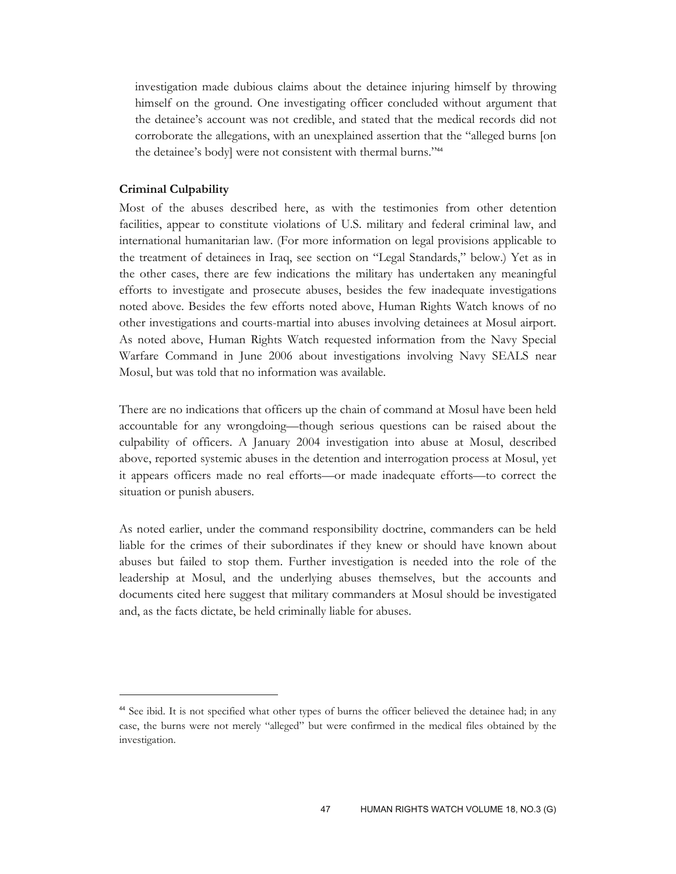investigation made dubious claims about the detainee injuring himself by throwing himself on the ground. One investigating officer concluded without argument that the detainee's account was not credible, and stated that the medical records did not corroborate the allegations, with an unexplained assertion that the "alleged burns [on the detainee's body] were not consistent with thermal burns."<sup>44</sup>

## **Criminal Culpability**

 $\overline{a}$ 

Most of the abuses described here, as with the testimonies from other detention facilities, appear to constitute violations of U.S. military and federal criminal law, and international humanitarian law. (For more information on legal provisions applicable to the treatment of detainees in Iraq, see section on "Legal Standards," below.) Yet as in the other cases, there are few indications the military has undertaken any meaningful efforts to investigate and prosecute abuses, besides the few inadequate investigations noted above. Besides the few efforts noted above, Human Rights Watch knows of no other investigations and courts-martial into abuses involving detainees at Mosul airport. As noted above, Human Rights Watch requested information from the Navy Special Warfare Command in June 2006 about investigations involving Navy SEALS near Mosul, but was told that no information was available.

There are no indications that officers up the chain of command at Mosul have been held accountable for any wrongdoing—though serious questions can be raised about the culpability of officers. A January 2004 investigation into abuse at Mosul, described above, reported systemic abuses in the detention and interrogation process at Mosul, yet it appears officers made no real efforts—or made inadequate efforts—to correct the situation or punish abusers.

As noted earlier, under the command responsibility doctrine, commanders can be held liable for the crimes of their subordinates if they knew or should have known about abuses but failed to stop them. Further investigation is needed into the role of the leadership at Mosul, and the underlying abuses themselves, but the accounts and documents cited here suggest that military commanders at Mosul should be investigated and, as the facts dictate, be held criminally liable for abuses.

<sup>&</sup>lt;sup>44</sup> See ibid. It is not specified what other types of burns the officer believed the detainee had; in any case, the burns were not merely "alleged" but were confirmed in the medical files obtained by the investigation.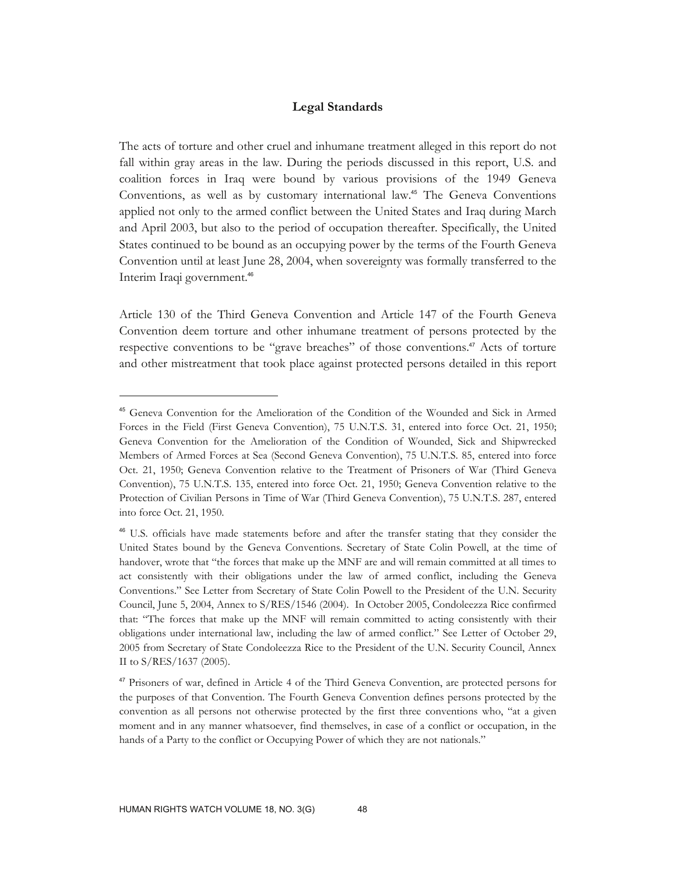# **Legal Standards**

The acts of torture and other cruel and inhumane treatment alleged in this report do not fall within gray areas in the law. During the periods discussed in this report, U.S. and coalition forces in Iraq were bound by various provisions of the 1949 Geneva Conventions, as well as by customary international law.45 The Geneva Conventions applied not only to the armed conflict between the United States and Iraq during March and April 2003, but also to the period of occupation thereafter. Specifically, the United States continued to be bound as an occupying power by the terms of the Fourth Geneva Convention until at least June 28, 2004, when sovereignty was formally transferred to the Interim Iraqi government.<sup>46</sup>

Article 130 of the Third Geneva Convention and Article 147 of the Fourth Geneva Convention deem torture and other inhumane treatment of persons protected by the respective conventions to be "grave breaches" of those conventions.47 Acts of torture and other mistreatment that took place against protected persons detailed in this report

-

<sup>45</sup> Geneva Convention for the Amelioration of the Condition of the Wounded and Sick in Armed Forces in the Field (First Geneva Convention), 75 U.N.T.S. 31, entered into force Oct. 21, 1950; Geneva Convention for the Amelioration of the Condition of Wounded, Sick and Shipwrecked Members of Armed Forces at Sea (Second Geneva Convention), 75 U.N.T.S. 85, entered into force Oct. 21, 1950; Geneva Convention relative to the Treatment of Prisoners of War (Third Geneva Convention), 75 U.N.T.S. 135, entered into force Oct. 21, 1950; Geneva Convention relative to the Protection of Civilian Persons in Time of War (Third Geneva Convention), 75 U.N.T.S. 287, entered into force Oct. 21, 1950.

<sup>46</sup> U.S. officials have made statements before and after the transfer stating that they consider the United States bound by the Geneva Conventions. Secretary of State Colin Powell, at the time of handover, wrote that "the forces that make up the MNF are and will remain committed at all times to act consistently with their obligations under the law of armed conflict, including the Geneva Conventions." See Letter from Secretary of State Colin Powell to the President of the U.N. Security Council, June 5, 2004, Annex to S/RES/1546 (2004). In October 2005, Condoleezza Rice confirmed that: "The forces that make up the MNF will remain committed to acting consistently with their obligations under international law, including the law of armed conflict." See Letter of October 29, 2005 from Secretary of State Condoleezza Rice to the President of the U.N. Security Council, Annex II to S/RES/1637 (2005).

<sup>47</sup> Prisoners of war, defined in Article 4 of the Third Geneva Convention, are protected persons for the purposes of that Convention. The Fourth Geneva Convention defines persons protected by the convention as all persons not otherwise protected by the first three conventions who, "at a given moment and in any manner whatsoever, find themselves, in case of a conflict or occupation, in the hands of a Party to the conflict or Occupying Power of which they are not nationals."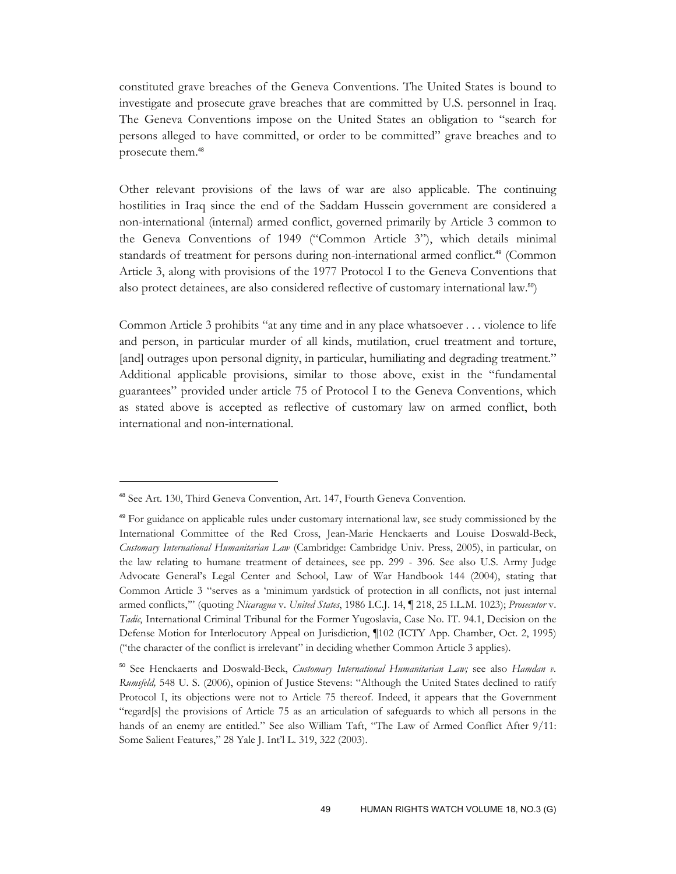constituted grave breaches of the Geneva Conventions. The United States is bound to investigate and prosecute grave breaches that are committed by U.S. personnel in Iraq. The Geneva Conventions impose on the United States an obligation to "search for persons alleged to have committed, or order to be committed" grave breaches and to prosecute them.<sup>48</sup>

Other relevant provisions of the laws of war are also applicable. The continuing hostilities in Iraq since the end of the Saddam Hussein government are considered a non-international (internal) armed conflict, governed primarily by Article 3 common to the Geneva Conventions of 1949 ("Common Article 3"), which details minimal standards of treatment for persons during non-international armed conflict.49 (Common Article 3, along with provisions of the 1977 Protocol I to the Geneva Conventions that also protect detainees, are also considered reflective of customary international law.50)

Common Article 3 prohibits "at any time and in any place whatsoever . . . violence to life and person, in particular murder of all kinds, mutilation, cruel treatment and torture, [and] outrages upon personal dignity, in particular, humiliating and degrading treatment." Additional applicable provisions, similar to those above, exist in the "fundamental guarantees" provided under article 75 of Protocol I to the Geneva Conventions, which as stated above is accepted as reflective of customary law on armed conflict, both international and non-international.

<sup>48</sup> See Art. 130, Third Geneva Convention, Art. 147, Fourth Geneva Convention.

<sup>&</sup>lt;sup>49</sup> For guidance on applicable rules under customary international law, see study commissioned by the International Committee of the Red Cross, Jean-Marie Henckaerts and Louise Doswald-Beck, *Customary International Humanitarian Law* (Cambridge: Cambridge Univ. Press, 2005), in particular, on the law relating to humane treatment of detainees, see pp. 299 - 396. See also U.S. Army Judge Advocate General's Legal Center and School, Law of War Handbook 144 (2004), stating that Common Article 3 "serves as a 'minimum yardstick of protection in all conflicts, not just internal armed conflicts,'" (quoting *Nicaragua* v. *United States*, 1986 I.C.J. 14, ¶ 218, 25 I.L.M. 1023); *Prosecutor* v. *Tadic*, International Criminal Tribunal for the Former Yugoslavia, Case No. IT. 94.1, Decision on the Defense Motion for Interlocutory Appeal on Jurisdiction, ¶102 (ICTY App. Chamber, Oct. 2, 1995) ("the character of the conflict is irrelevant" in deciding whether Common Article 3 applies).

<sup>50</sup> See Henckaerts and Doswald-Beck, *Customary International Humanitarian Law;* see also *Hamdan v. Rumsfeld,* 548 U. S. (2006), opinion of Justice Stevens: "Although the United States declined to ratify Protocol I, its objections were not to Article 75 thereof. Indeed, it appears that the Government "regard[s] the provisions of Article 75 as an articulation of safeguards to which all persons in the hands of an enemy are entitled." See also William Taft, "The Law of Armed Conflict After 9/11: Some Salient Features," 28 Yale J. Int'l L. 319, 322 (2003).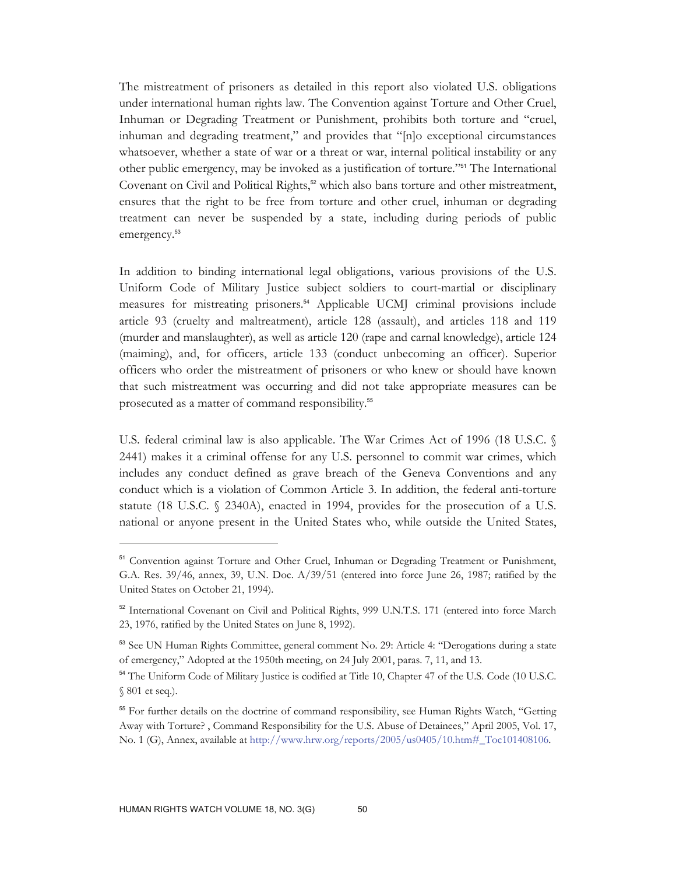The mistreatment of prisoners as detailed in this report also violated U.S. obligations under international human rights law. The Convention against Torture and Other Cruel, Inhuman or Degrading Treatment or Punishment, prohibits both torture and "cruel, inhuman and degrading treatment," and provides that "[n]o exceptional circumstances whatsoever, whether a state of war or a threat or war, internal political instability or any other public emergency, may be invoked as a justification of torture."51 The International Covenant on Civil and Political Rights,<sup>52</sup> which also bans torture and other mistreatment, ensures that the right to be free from torture and other cruel, inhuman or degrading treatment can never be suspended by a state, including during periods of public emergency.<sup>53</sup>

In addition to binding international legal obligations, various provisions of the U.S. Uniform Code of Military Justice subject soldiers to court-martial or disciplinary measures for mistreating prisoners.54 Applicable UCMJ criminal provisions include article 93 (cruelty and maltreatment), article 128 (assault), and articles 118 and 119 (murder and manslaughter), as well as article 120 (rape and carnal knowledge), article 124 (maiming), and, for officers, article 133 (conduct unbecoming an officer). Superior officers who order the mistreatment of prisoners or who knew or should have known that such mistreatment was occurring and did not take appropriate measures can be prosecuted as a matter of command responsibility.<sup>55</sup>

U.S. federal criminal law is also applicable. The War Crimes Act of 1996 (18 U.S.C. § 2441) makes it a criminal offense for any U.S. personnel to commit war crimes, which includes any conduct defined as grave breach of the Geneva Conventions and any conduct which is a violation of Common Article 3. In addition, the federal anti-torture statute (18 U.S.C. § 2340A), enacted in 1994, provides for the prosecution of a U.S. national or anyone present in the United States who, while outside the United States,

<sup>&</sup>lt;sup>51</sup> Convention against Torture and Other Cruel, Inhuman or Degrading Treatment or Punishment, G.A. Res. 39/46, annex, 39, U.N. Doc. A/39/51 (entered into force June 26, 1987; ratified by the United States on October 21, 1994).

<sup>52</sup> International Covenant on Civil and Political Rights, 999 U.N.T.S. 171 (entered into force March 23, 1976, ratified by the United States on June 8, 1992).

<sup>53</sup> See UN Human Rights Committee, general comment No. 29: Article 4: "Derogations during a state of emergency," Adopted at the 1950th meeting, on 24 July 2001, paras. 7, 11, and 13.

<sup>54</sup> The Uniform Code of Military Justice is codified at Title 10, Chapter 47 of the U.S. Code (10 U.S.C. § 801 et seq.).

<sup>&</sup>lt;sup>55</sup> For further details on the doctrine of command responsibility, see Human Rights Watch, "Getting Away with Torture? , Command Responsibility for the U.S. Abuse of Detainees," April 2005, Vol. 17, No. 1 (G), Annex, available at http://www.hrw.org/reports/2005/us0405/10.htm#\_Toc101408106.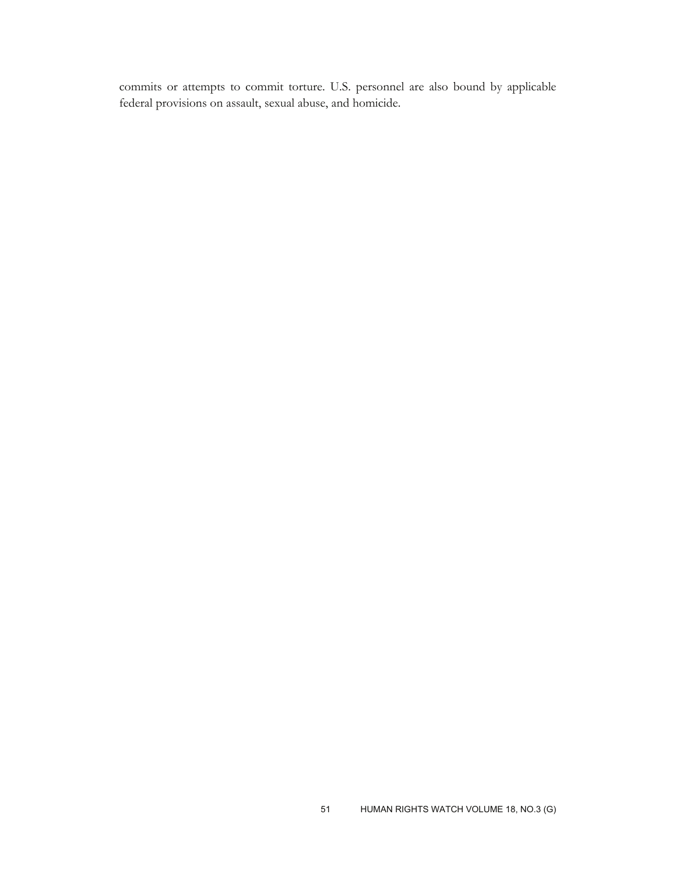commits or attempts to commit torture. U.S. personnel are also bound by applicable federal provisions on assault, sexual abuse, and homicide.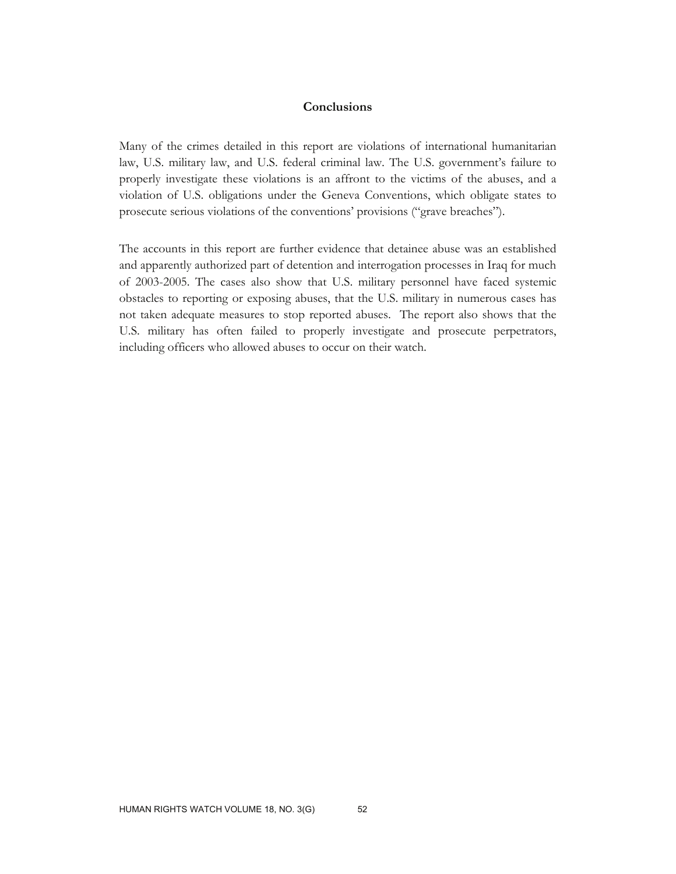# **Conclusions**

Many of the crimes detailed in this report are violations of international humanitarian law, U.S. military law, and U.S. federal criminal law. The U.S. government's failure to properly investigate these violations is an affront to the victims of the abuses, and a violation of U.S. obligations under the Geneva Conventions, which obligate states to prosecute serious violations of the conventions' provisions ("grave breaches").

The accounts in this report are further evidence that detainee abuse was an established and apparently authorized part of detention and interrogation processes in Iraq for much of 2003-2005. The cases also show that U.S. military personnel have faced systemic obstacles to reporting or exposing abuses, that the U.S. military in numerous cases has not taken adequate measures to stop reported abuses. The report also shows that the U.S. military has often failed to properly investigate and prosecute perpetrators, including officers who allowed abuses to occur on their watch.